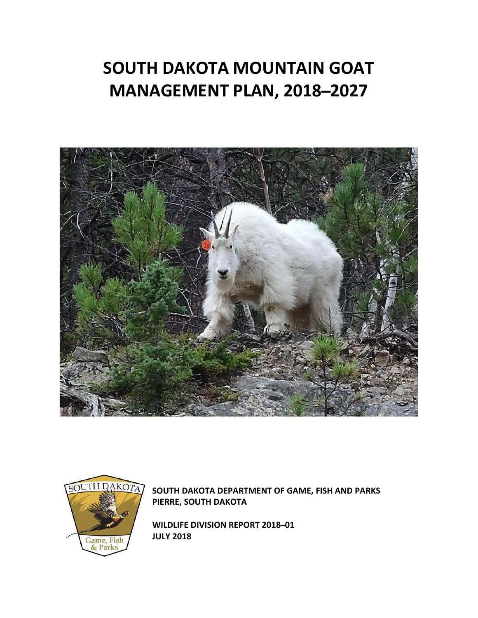# **SOUTH DAKOTA MOUNTAIN GOAT MANAGEMENT PLAN, 2018 ̶ 2027**





**SOUTH DAKOTA DEPARTMENT OF GAME, FISH AND PARKS PIERRE, SOUTH DAKOTA**

**WILDLIFE DIVISION REPORT 2018-01 JULY 2018**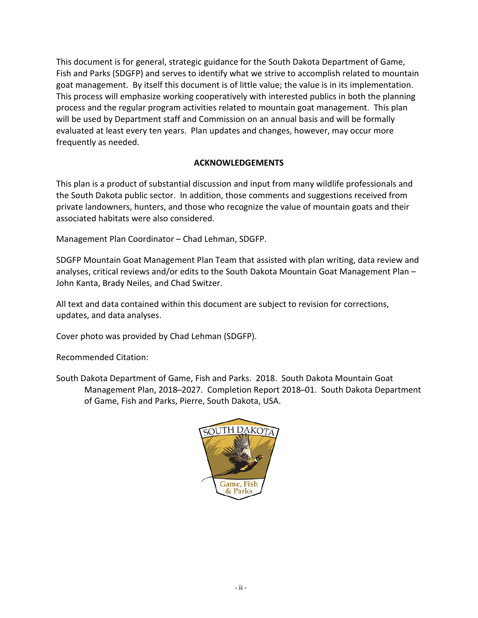This document is for general, strategic guidance for the South Dakota Department of Game, Fish and Parks (SDGFP) and serves to identify what we strive to accomplish related to mountain goat management. By itself this document is of little value; the value is in its implementation. This process will emphasize working cooperatively with interested publics in both the planning process and the regular program activities related to mountain goat management. This plan will be used by Department staff and Commission on an annual basis and will be formally evaluated at least every ten years. Plan updates and changes, however, may occur more frequently as needed.

## **ACKNOWLEDGEMENTS**

This plan is a product of substantial discussion and input from many wildlife professionals and the South Dakota public sector. In addition, those comments and suggestions received from private landowners, hunters, and those who recognize the value of mountain goats and their associated habitats were also considered.

Management Plan Coordinator – Chad Lehman, SDGFP.

SDGFP Mountain Goat Management Plan Team that assisted with plan writing, data review and analyses, critical reviews and/or edits to the South Dakota Mountain Goat Management Plan – John Kanta, Brady Neiles, and Chad Switzer.

All text and data contained within this document are subject to revision for corrections, updates, and data analyses.

Cover photo was provided by Chad Lehman (SDGFP).

Recommended Citation:

South Dakota Department of Game, Fish and Parks. 2018. South Dakota Mountain Goat Management Plan, 2018-2027. Completion Report 2018-01. South Dakota Department of Game, Fish and Parks, Pierre, South Dakota, USA.

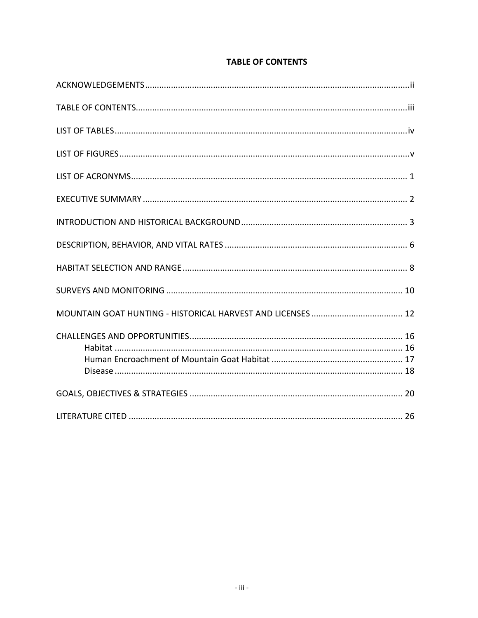## **TABLE OF CONTENTS**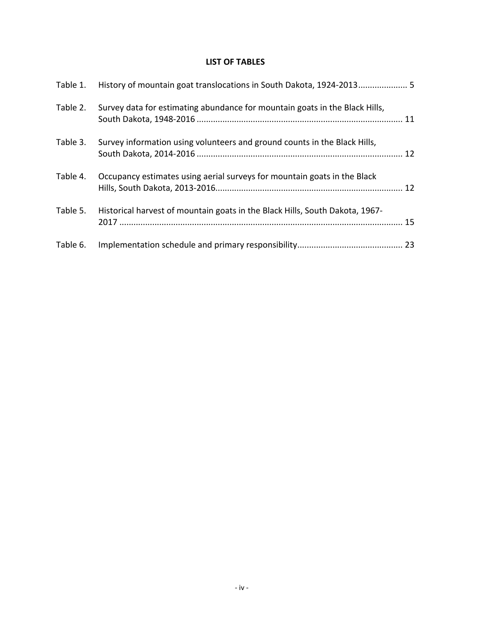## **LIST OF TABLES**

| Table 1. | History of mountain goat translocations in South Dakota, 1924-2013 5         |  |
|----------|------------------------------------------------------------------------------|--|
| Table 2. | Survey data for estimating abundance for mountain goats in the Black Hills,  |  |
| Table 3. | Survey information using volunteers and ground counts in the Black Hills,    |  |
| Table 4. | Occupancy estimates using aerial surveys for mountain goats in the Black     |  |
| Table 5. | Historical harvest of mountain goats in the Black Hills, South Dakota, 1967- |  |
| Table 6. |                                                                              |  |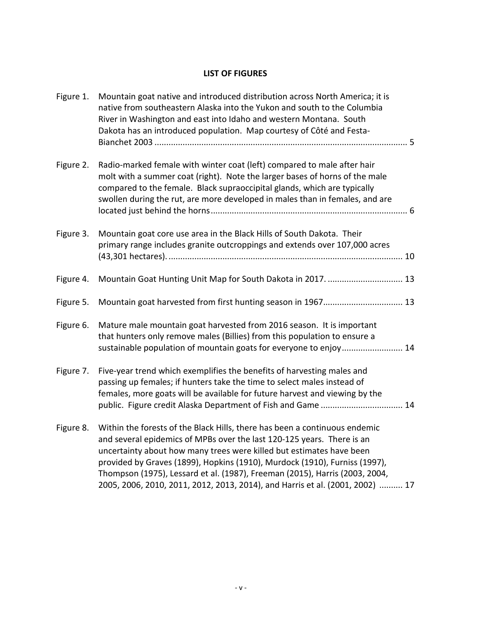## **LIST OF FIGURES**

| Figure 1. | Mountain goat native and introduced distribution across North America; it is<br>native from southeastern Alaska into the Yukon and south to the Columbia<br>River in Washington and east into Idaho and western Montana. South<br>Dakota has an introduced population. Map courtesy of Côté and Festa-                                                                                                                                                                     |
|-----------|----------------------------------------------------------------------------------------------------------------------------------------------------------------------------------------------------------------------------------------------------------------------------------------------------------------------------------------------------------------------------------------------------------------------------------------------------------------------------|
| Figure 2. | Radio-marked female with winter coat (left) compared to male after hair<br>molt with a summer coat (right). Note the larger bases of horns of the male<br>compared to the female. Black supraoccipital glands, which are typically<br>swollen during the rut, are more developed in males than in females, and are                                                                                                                                                         |
| Figure 3. | Mountain goat core use area in the Black Hills of South Dakota. Their<br>primary range includes granite outcroppings and extends over 107,000 acres                                                                                                                                                                                                                                                                                                                        |
| Figure 4. | Mountain Goat Hunting Unit Map for South Dakota in 2017.  13                                                                                                                                                                                                                                                                                                                                                                                                               |
| Figure 5. | Mountain goat harvested from first hunting season in 1967 13                                                                                                                                                                                                                                                                                                                                                                                                               |
| Figure 6. | Mature male mountain goat harvested from 2016 season. It is important<br>that hunters only remove males (Billies) from this population to ensure a<br>sustainable population of mountain goats for everyone to enjoy 14                                                                                                                                                                                                                                                    |
| Figure 7. | Five-year trend which exemplifies the benefits of harvesting males and<br>passing up females; if hunters take the time to select males instead of<br>females, more goats will be available for future harvest and viewing by the<br>public. Figure credit Alaska Department of Fish and Game  14                                                                                                                                                                           |
| Figure 8. | Within the forests of the Black Hills, there has been a continuous endemic<br>and several epidemics of MPBs over the last 120-125 years. There is an<br>uncertainty about how many trees were killed but estimates have been<br>provided by Graves (1899), Hopkins (1910), Murdock (1910), Furniss (1997),<br>Thompson (1975), Lessard et al. (1987), Freeman (2015), Harris (2003, 2004,<br>2005, 2006, 2010, 2011, 2012, 2013, 2014), and Harris et al. (2001, 2002)  17 |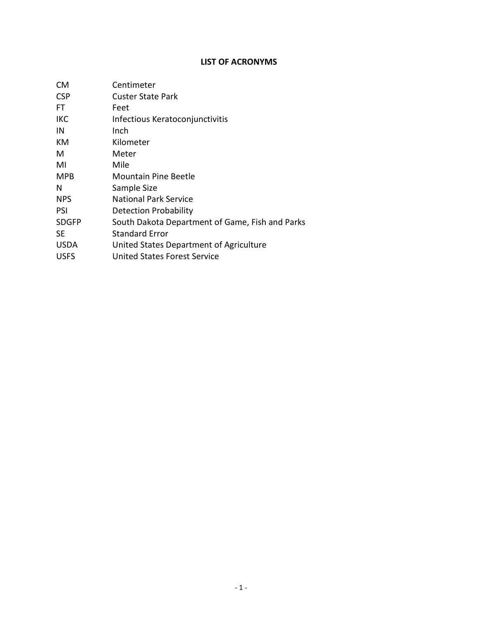# **LIST OF ACRONYMS**

| <b>CM</b>    | Centimeter                                      |
|--------------|-------------------------------------------------|
| <b>CSP</b>   | Custer State Park                               |
| FT.          | Feet                                            |
| <b>IKC</b>   | Infectious Keratoconjunctivitis                 |
| ΙN           | Inch                                            |
| KM           | Kilometer                                       |
| M            | Meter                                           |
| MI           | Mile                                            |
| <b>MPB</b>   | Mountain Pine Beetle                            |
| N            | Sample Size                                     |
| <b>NPS</b>   | <b>National Park Service</b>                    |
| <b>PSI</b>   | <b>Detection Probability</b>                    |
| <b>SDGFP</b> | South Dakota Department of Game, Fish and Parks |
| SE.          | <b>Standard Error</b>                           |
| <b>USDA</b>  | United States Department of Agriculture         |
| <b>USFS</b>  | United States Forest Service                    |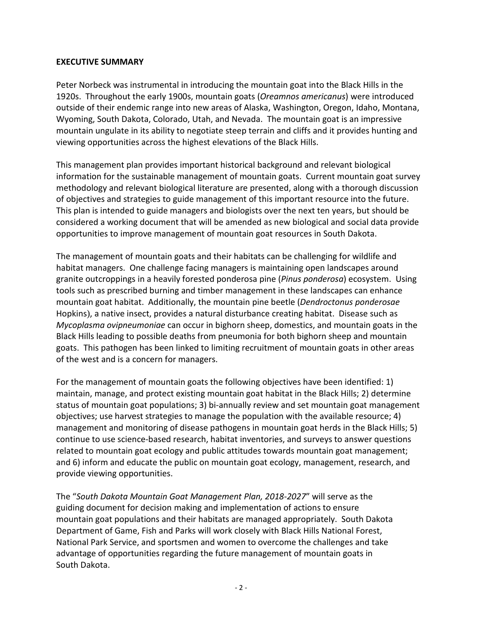## **EXECUTIVE SUMMARY**

Peter Norbeck was instrumental in introducing the mountain goat into the Black Hills in the 1920s. Throughout the early 1900s, mountain goats (*Oreamnos americanus*) were introduced outside of their endemic range into new areas of Alaska, Washington, Oregon, Idaho, Montana, Wyoming, South Dakota, Colorado, Utah, and Nevada. The mountain goat is an impressive mountain ungulate in its ability to negotiate steep terrain and cliffs and it provides hunting and viewing opportunities across the highest elevations of the Black Hills.

This management plan provides important historical background and relevant biological information for the sustainable management of mountain goats. Current mountain goat survey methodology and relevant biological literature are presented, along with a thorough discussion of objectives and strategies to guide management of this important resource into the future. This plan is intended to guide managers and biologists over the next ten years, but should be considered a working document that will be amended as new biological and social data provide opportunities to improve management of mountain goat resources in South Dakota.

The management of mountain goats and their habitats can be challenging for wildlife and habitat managers. One challenge facing managers is maintaining open landscapes around granite outcroppings in a heavily forested ponderosa pine (*Pinus ponderosa*) ecosystem. Using tools such as prescribed burning and timber management in these landscapes can enhance mountain goat habitat. Additionally, the mountain pine beetle (*Dendroctonus ponderosae* Hopkins), a native insect, provides a natural disturbance creating habitat. Disease such as *Mycoplasma ovipneumoniae* can occur in bighorn sheep, domestics, and mountain goats in the Black Hills leading to possible deaths from pneumonia for both bighorn sheep and mountain goats. This pathogen has been linked to limiting recruitment of mountain goats in other areas of the west and is a concern for managers.

For the management of mountain goats the following objectives have been identified: 1) maintain, manage, and protect existing mountain goat habitat in the Black Hills; 2) determine status of mountain goat populations; 3) bi-annually review and set mountain goat management objectives; use harvest strategies to manage the population with the available resource; 4) management and monitoring of disease pathogens in mountain goat herds in the Black Hills; 5) continue to use science-based research, habitat inventories, and surveys to answer questions related to mountain goat ecology and public attitudes towards mountain goat management; and 6) inform and educate the public on mountain goat ecology, management, research, and provide viewing opportunities.

The "*South Dakota Mountain Goat Management Plan, 2018-2027*" will serve as the guiding document for decision making and implementation of actions to ensure mountain goat populations and their habitats are managed appropriately. South Dakota Department of Game, Fish and Parks will work closely with Black Hills National Forest, National Park Service, and sportsmen and women to overcome the challenges and take advantage of opportunities regarding the future management of mountain goats in South Dakota.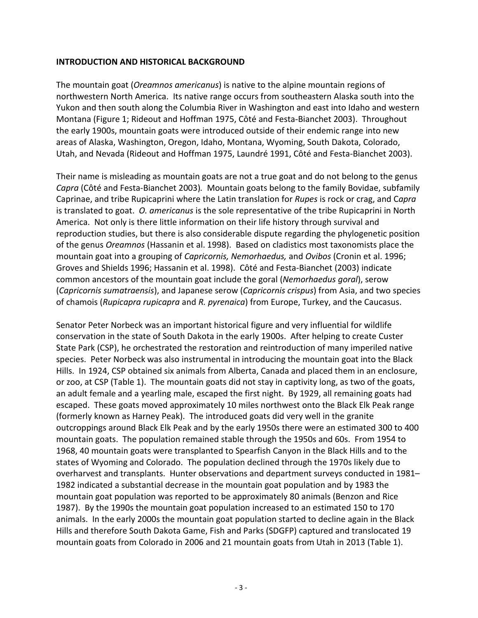#### **INTRODUCTION AND HISTORICAL BACKGROUND**

The mountain goat (*Oreamnos americanus*) is native to the alpine mountain regions of northwestern North America. Its native range occurs from southeastern Alaska south into the Yukon and then south along the Columbia River in Washington and east into Idaho and western Montana (Figure 1; Rideout and Hoffman 1975, Côté and Festa-Bianchet 2003). Throughout the early 1900s, mountain goats were introduced outside of their endemic range into new areas of Alaska, Washington, Oregon, Idaho, Montana, Wyoming, South Dakota, Colorado, Utah, and Nevada (Rideout and Hoffman 1975, Laundré 1991, Côté and Festa-Bianchet 2003).

Their name is misleading as mountain goats are not a true goat and do not belong to the genus *Capra* (Côté and Festa-Bianchet 2003)*.* Mountain goats belong to the family Bovidae, subfamily Caprinae, and tribe Rupicaprini where the Latin translation for *Rupes* is rock or crag, and C*apra* is translated to goat. *O. americanus* is the sole representative of the tribe Rupicaprini in North America. Not only is there little information on their life history through survival and reproduction studies, but there is also considerable dispute regarding the phylogenetic position of the genus *Oreamnos* (Hassanin et al. 1998). Based on cladistics most taxonomists place the mountain goat into a grouping of *Capricornis, Nemorhaedus,* and *Ovibos* (Cronin et al. 1996; Groves and Shields 1996; Hassanin et al. 1998). Côté and Festa-Bianchet (2003) indicate common ancestors of the mountain goat include the goral (*Nemorhaedus goral*), serow (*Capricornis sumatraensis*), and Japanese serow (*Capricornis crispus*) from Asia, and two species of chamois (*Rupicapra rupicapra* and *R. pyrenaica*) from Europe, Turkey, and the Caucasus.

Senator Peter Norbeck was an important historical figure and very influential for wildlife conservation in the state of South Dakota in the early 1900s. After helping to create Custer State Park (CSP), he orchestrated the restoration and reintroduction of many imperiled native species. Peter Norbeck was also instrumental in introducing the mountain goat into the Black Hills. In 1924, CSP obtained six animals from Alberta, Canada and placed them in an enclosure, or zoo, at CSP (Table 1). The mountain goats did not stay in captivity long, as two of the goats, an adult female and a yearling male, escaped the first night. By 1929, all remaining goats had escaped. These goats moved approximately 10 miles northwest onto the Black Elk Peak range (formerly known as Harney Peak). The introduced goats did very well in the granite outcroppings around Black Elk Peak and by the early 1950s there were an estimated 300 to 400 mountain goats. The population remained stable through the 1950s and 60s. From 1954 to 1968, 40 mountain goats were transplanted to Spearfish Canyon in the Black Hills and to the states of Wyoming and Colorado. The population declined through the 1970s likely due to overharvest and transplants. Hunter observations and department surveys conducted in 1981– 1982 indicated a substantial decrease in the mountain goat population and by 1983 the mountain goat population was reported to be approximately 80 animals (Benzon and Rice 1987). By the 1990s the mountain goat population increased to an estimated 150 to 170 animals. In the early 2000s the mountain goat population started to decline again in the Black Hills and therefore South Dakota Game, Fish and Parks (SDGFP) captured and translocated 19 mountain goats from Colorado in 2006 and 21 mountain goats from Utah in 2013 (Table 1).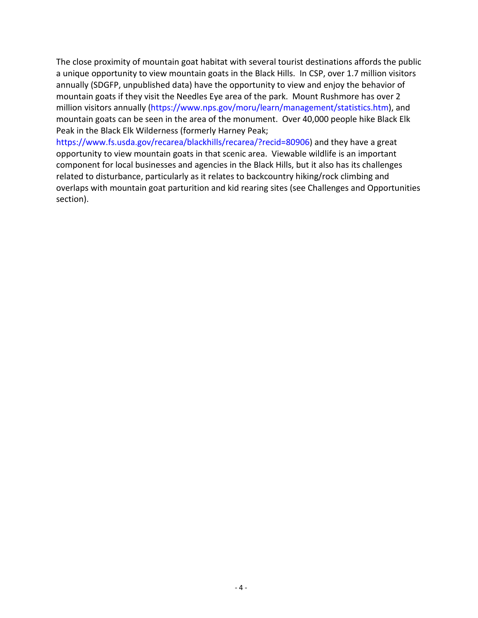The close proximity of mountain goat habitat with several tourist destinations affords the public a unique opportunity to view mountain goats in the Black Hills. In CSP, over 1.7 million visitors annually (SDGFP, unpublished data) have the opportunity to view and enjoy the behavior of mountain goats if they visit the Needles Eye area of the park. Mount Rushmore has over 2 million visitors annually (https://www.nps.gov/moru/learn/management/statistics.htm), and mountain goats can be seen in the area of the monument. Over 40,000 people hike Black Elk Peak in the Black Elk Wilderness (formerly Harney Peak;

https://www.fs.usda.gov/recarea/blackhills/recarea/?recid=80906) and they have a great opportunity to view mountain goats in that scenic area. Viewable wildlife is an important component for local businesses and agencies in the Black Hills, but it also has its challenges related to disturbance, particularly as it relates to backcountry hiking/rock climbing and overlaps with mountain goat parturition and kid rearing sites (see Challenges and Opportunities section).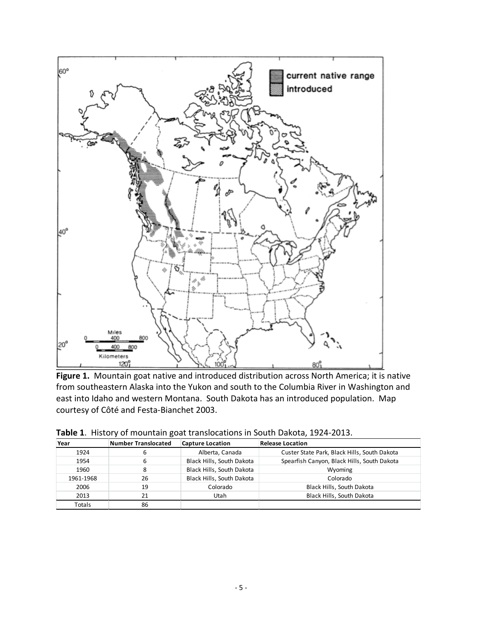

**Figure 1.** Mountain goat native and introduced distribution across North America; it is native from southeastern Alaska into the Yukon and south to the Columbia River in Washington and east into Idaho and western Montana. South Dakota has an introduced population. Map courtesy of Côté and Festa-Bianchet 2003.

|  |  |  |  |  |  |  | Table 1. History of mountain goat translocations in South Dakota, 1924-2013. |
|--|--|--|--|--|--|--|------------------------------------------------------------------------------|
|--|--|--|--|--|--|--|------------------------------------------------------------------------------|

| Year      | <b>Number Translocated</b> | <b>Capture Location</b>   | <b>Release Location</b>                      |
|-----------|----------------------------|---------------------------|----------------------------------------------|
| 1924      | 6                          | Alberta, Canada           | Custer State Park, Black Hills, South Dakota |
| 1954      | 6                          | Black Hills, South Dakota | Spearfish Canyon, Black Hills, South Dakota  |
| 1960      | 8                          | Black Hills, South Dakota | Wyoming                                      |
| 1961-1968 | 26                         | Black Hills, South Dakota | Colorado                                     |
| 2006      | 19                         | Colorado                  | Black Hills, South Dakota                    |
| 2013      | 21                         | Utah                      | Black Hills, South Dakota                    |
| Totals    | 86                         |                           |                                              |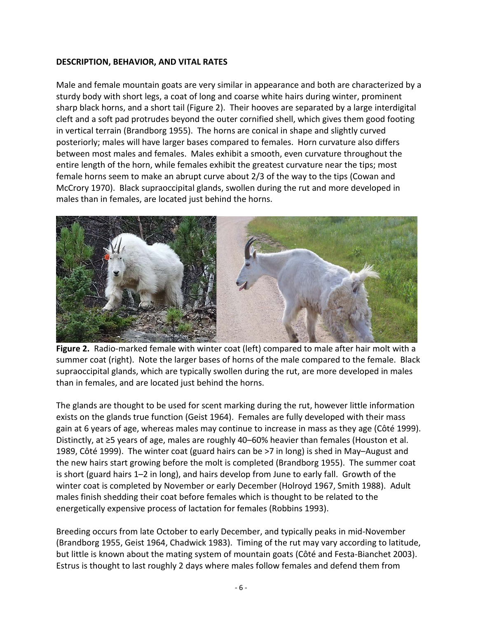## **DESCRIPTION, BEHAVIOR, AND VITAL RATES**

Male and female mountain goats are very similar in appearance and both are characterized by a sturdy body with short legs, a coat of long and coarse white hairs during winter, prominent sharp black horns, and a short tail (Figure 2). Their hooves are separated by a large interdigital cleft and a soft pad protrudes beyond the outer cornified shell, which gives them good footing in vertical terrain (Brandborg 1955). The horns are conical in shape and slightly curved posteriorly; males will have larger bases compared to females. Horn curvature also differs between most males and females. Males exhibit a smooth, even curvature throughout the entire length of the horn, while females exhibit the greatest curvature near the tips; most female horns seem to make an abrupt curve about 2/3 of the way to the tips (Cowan and McCrory 1970). Black supraoccipital glands, swollen during the rut and more developed in males than in females, are located just behind the horns.



**Figure 2.** Radio-marked female with winter coat (left) compared to male after hair molt with a summer coat (right). Note the larger bases of horns of the male compared to the female. Black supraoccipital glands, which are typically swollen during the rut, are more developed in males than in females, and are located just behind the horns.

The glands are thought to be used for scent marking during the rut, however little information exists on the glands true function (Geist 1964). Females are fully developed with their mass gain at 6 years of age, whereas males may continue to increase in mass as they age (Côté 1999). Distinctly, at ≥5 years of age, males are roughly 40–60% heavier than females (Houston et al. 1989, Côté 1999). The winter coat (guard hairs can be >7 in long) is shed in May–August and the new hairs start growing before the molt is completed (Brandborg 1955). The summer coat is short (guard hairs 1–2 in long), and hairs develop from June to early fall. Growth of the winter coat is completed by November or early December (Holroyd 1967, Smith 1988). Adult males finish shedding their coat before females which is thought to be related to the energetically expensive process of lactation for females (Robbins 1993).

Breeding occurs from late October to early December, and typically peaks in mid-November (Brandborg 1955, Geist 1964, Chadwick 1983). Timing of the rut may vary according to latitude, but little is known about the mating system of mountain goats (Côté and Festa-Bianchet 2003). Estrus is thought to last roughly 2 days where males follow females and defend them from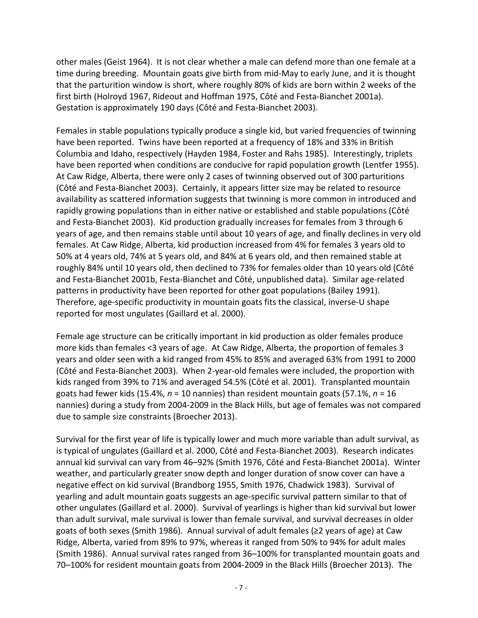other males (Geist 1964). It is not clear whether a male can defend more than one female at a time during breeding. Mountain goats give birth from mid-May to early June, and it is thought that the parturition window is short, where roughly 80% of kids are born within 2 weeks of the first birth (Holroyd 1967, Rideout and Hoffman 1975, Côté and Festa-Bianchet 2001a). Gestation is approximately 190 days (Côté and Festa-Bianchet 2003).

Females in stable populations typically produce a single kid, but varied frequencies of twinning have been reported. Twins have been reported at a frequency of 18% and 33% in British Columbia and Idaho, respectively (Hayden 1984, Foster and Rahs 1985). Interestingly, triplets have been reported when conditions are conducive for rapid population growth (Lentfer 1955). At Caw Ridge, Alberta, there were only 2 cases of twinning observed out of 300 parturitions (Côté and Festa-Bianchet 2003). Certainly, it appears litter size may be related to resource availability as scattered information suggests that twinning is more common in introduced and rapidly growing populations than in either native or established and stable populations (Côté and Festa-Bianchet 2003). Kid production gradually increases for females from 3 through 6 years of age, and then remains stable until about 10 years of age, and finally declines in very old females. At Caw Ridge, Alberta, kid production increased from 4% for females 3 years old to 50% at 4 years old, 74% at 5 years old, and 84% at 6 years old, and then remained stable at roughly 84% until 10 years old, then declined to 73% for females older than 10 years old (Côté and Festa-Bianchet 2001b, Festa-Bianchet and Côté, unpublished data). Similar age-related patterns in productivity have been reported for other goat populations (Bailey 1991). Therefore, age-specific productivity in mountain goats fits the classical, inverse-U shape reported for most ungulates (Gaillard et al. 2000).

Female age structure can be critically important in kid production as older females produce more kids than females <3 years of age. At Caw Ridge, Alberta, the proportion of females 3 years and older seen with a kid ranged from 45% to 85% and averaged 63% from 1991 to 2000 (Côté and Festa-Bianchet 2003). When 2-year-old females were included, the proportion with kids ranged from 39% to 71% and averaged 54.5% (Côté et al. 2001). Transplanted mountain goats had fewer kids (15.4%, *n* = 10 nannies) than resident mountain goats (57.1%, *n* = 16 nannies) during a study from 2004-2009 in the Black Hills, but age of females was not compared due to sample size constraints (Broecher 2013).

Survival for the first year of life is typically lower and much more variable than adult survival, as is typical of ungulates (Gaillard et al. 2000, Côté and Festa-Bianchet 2003). Research indicates annual kid survival can vary from 46–92% (Smith 1976, Côté and Festa-Bianchet 2001a). Winter weather, and particularly greater snow depth and longer duration of snow cover can have a negative effect on kid survival (Brandborg 1955, Smith 1976, Chadwick 1983). Survival of yearling and adult mountain goats suggests an age-specific survival pattern similar to that of other ungulates (Gaillard et al. 2000). Survival of yearlings is higher than kid survival but lower than adult survival, male survival is lower than female survival, and survival decreases in older goats of both sexes (Smith 1986). Annual survival of adult females (≥2 years of age) at Caw Ridge, Alberta, varied from 89% to 97%, whereas it ranged from 50% to 94% for adult males (Smith 1986). Annual survival rates ranged from 36–100% for transplanted mountain goats and 70–100% for resident mountain goats from 2004-2009 in the Black Hills (Broecher 2013). The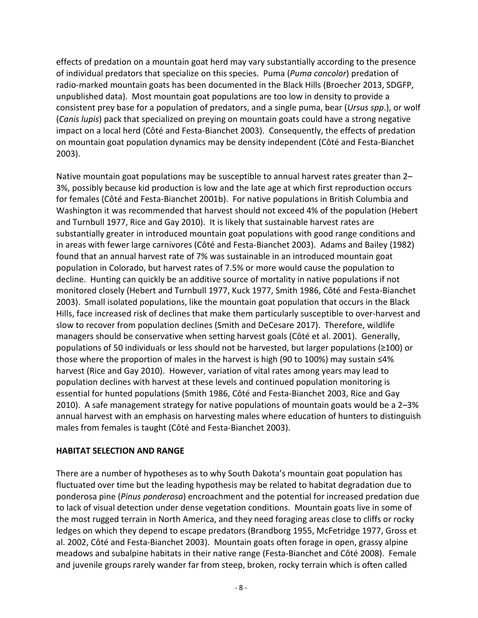effects of predation on a mountain goat herd may vary substantially according to the presence of individual predators that specialize on this species. Puma (*Puma concolor*) predation of radio-marked mountain goats has been documented in the Black Hills (Broecher 2013, SDGFP, unpublished data). Most mountain goat populations are too low in density to provide a consistent prey base for a population of predators, and a single puma, bear (*Ursus spp*.), or wolf (*Canis lupis*) pack that specialized on preying on mountain goats could have a strong negative impact on a local herd (Côté and Festa-Bianchet 2003). Consequently, the effects of predation on mountain goat population dynamics may be density independent (Côté and Festa-Bianchet 2003).

Native mountain goat populations may be susceptible to annual harvest rates greater than 2– 3%, possibly because kid production is low and the late age at which first reproduction occurs for females (Côté and Festa-Bianchet 2001b). For native populations in British Columbia and Washington it was recommended that harvest should not exceed 4% of the population (Hebert and Turnbull 1977, Rice and Gay 2010). It is likely that sustainable harvest rates are substantially greater in introduced mountain goat populations with good range conditions and in areas with fewer large carnivores (Côté and Festa-Bianchet 2003). Adams and Bailey (1982) found that an annual harvest rate of 7% was sustainable in an introduced mountain goat population in Colorado, but harvest rates of 7.5% or more would cause the population to decline. Hunting can quickly be an additive source of mortality in native populations if not monitored closely (Hebert and Turnbull 1977, Kuck 1977, Smith 1986, Côté and Festa-Bianchet 2003). Small isolated populations, like the mountain goat population that occurs in the Black Hills, face increased risk of declines that make them particularly susceptible to over-harvest and slow to recover from population declines (Smith and DeCesare 2017). Therefore, wildlife managers should be conservative when setting harvest goals (Côté et al. 2001). Generally, populations of 50 individuals or less should not be harvested, but larger populations (≥100) or those where the proportion of males in the harvest is high (90 to 100%) may sustain ≤4% harvest (Rice and Gay 2010). However, variation of vital rates among years may lead to population declines with harvest at these levels and continued population monitoring is essential for hunted populations (Smith 1986, Côté and Festa-Bianchet 2003, Rice and Gay 2010). A safe management strategy for native populations of mountain goats would be a 2–3% annual harvest with an emphasis on harvesting males where education of hunters to distinguish males from females is taught (Côté and Festa-Bianchet 2003).

## **HABITAT SELECTION AND RANGE**

There are a number of hypotheses as to why South Dakota's mountain goat population has fluctuated over time but the leading hypothesis may be related to habitat degradation due to ponderosa pine (*Pinus ponderosa*) encroachment and the potential for increased predation due to lack of visual detection under dense vegetation conditions. Mountain goats live in some of the most rugged terrain in North America, and they need foraging areas close to cliffs or rocky ledges on which they depend to escape predators (Brandborg 1955, McFetridge 1977, Gross et al. 2002, Côté and Festa-Bianchet 2003). Mountain goats often forage in open, grassy alpine meadows and subalpine habitats in their native range (Festa-Bianchet and Côté 2008). Female and juvenile groups rarely wander far from steep, broken, rocky terrain which is often called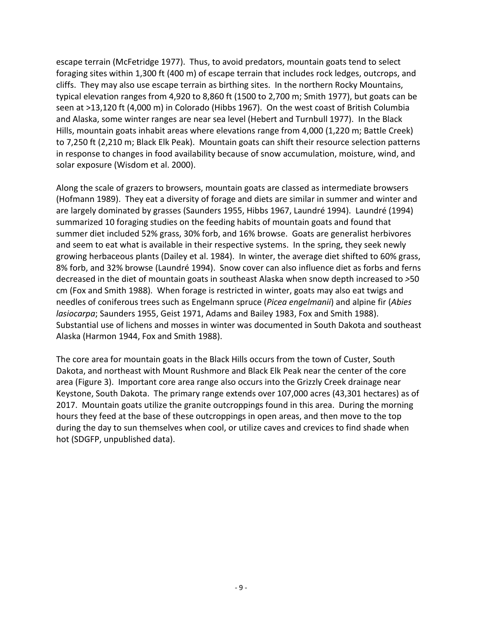escape terrain (McFetridge 1977). Thus, to avoid predators, mountain goats tend to select foraging sites within 1,300 ft (400 m) of escape terrain that includes rock ledges, outcrops, and cliffs. They may also use escape terrain as [birthing sites.](https://www.fs.fed.us/database/feis/animals/mammal/oram/all.html#BirthingSites) In the northern Rocky Mountains, typical elevation ranges from 4,920 to 8,860 ft (1500 to 2,700 m; Smith 1977), but goats can be seen at >13,120 ft (4,000 m) in Colorado (Hibbs 1967). On the west coast of British Columbia and Alaska, some winter ranges are near sea level (Hebert and Turnbull 1977). In the Black Hills, mountain goats inhabit areas where elevations range from 4,000 (1,220 m; Battle Creek) to 7,250 ft (2,210 m; Black Elk Peak). Mountain goats can shift their resource selection patterns in response to changes in food availability because of snow accumulation, moisture, wind, and solar exposure (Wisdom et al. 2000).

Along the scale of grazers to browsers, mountain goats are classed as intermediate browsers (Hofmann 1989). They eat a diversity of forage and diets are similar in summer and winter and are largely dominated by grasses (Saunders 1955, Hibbs 1967, Laundré 1994). Laundré (1994) summarized 10 foraging studies on the feeding habits of mountain goats and found that summer diet included 52% grass, 30% forb, and 16% browse. Goats are generalist herbivores and seem to eat what is available in their respective systems. In the spring, they seek newly growing herbaceous plants (Dailey et al. 1984). In winter, the average diet shifted to 60% grass, 8% forb, and 32% browse (Laundré 1994). Snow cover can also influence diet as forbs and ferns decreased in the diet of mountain goats in southeast Alaska when snow depth increased to *>*50 cm (Fox and Smith 1988). When forage is restricted in winter, goats may also eat twigs and needles of coniferous trees such as Engelmann spruce (*Picea engelmanii*) and alpine fir (*Abies lasiocarpa*; Saunders 1955, Geist 1971, Adams and Bailey 1983, Fox and Smith 1988). Substantial use of lichens and mosses in winter was documented in South Dakota and southeast Alaska (Harmon 1944, Fox and Smith 1988).

The core area for mountain goats in the Black Hills occurs from the town of Custer, South Dakota, and northeast with Mount Rushmore and Black Elk Peak near the center of the core area (Figure 3). Important core area range also occurs into the Grizzly Creek drainage near Keystone, South Dakota. The primary range extends over 107,000 acres (43,301 hectares) as of 2017. Mountain goats utilize the granite outcroppings found in this area. During the morning hours they feed at the base of these outcroppings in open areas, and then move to the top during the day to sun themselves when cool, or utilize caves and crevices to find shade when hot (SDGFP, unpublished data).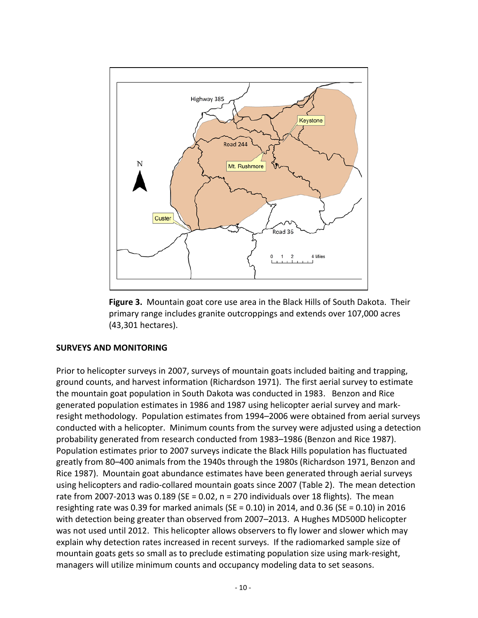

**Figure 3.** Mountain goat core use area in the Black Hills of South Dakota. Their primary range includes granite outcroppings and extends over 107,000 acres (43,301 hectares).

#### **SURVEYS AND MONITORING**

Prior to helicopter surveys in 2007, surveys of mountain goats included baiting and trapping, ground counts, and harvest information (Richardson 1971). The first aerial survey to estimate the mountain goat population in South Dakota was conducted in 1983. Benzon and Rice generated population estimates in 1986 and 1987 using helicopter aerial survey and markresight methodology. Population estimates from 1994–2006 were obtained from aerial surveys conducted with a helicopter. Minimum counts from the survey were adjusted using a detection probability generated from research conducted from 1983–1986 (Benzon and Rice 1987). Population estimates prior to 2007 surveys indicate the Black Hills population has fluctuated greatly from 80–400 animals from the 1940s through the 1980s (Richardson 1971, Benzon and Rice 1987). Mountain goat abundance estimates have been generated through aerial surveys using helicopters and radio-collared mountain goats since 2007 (Table 2). The mean detection rate from 2007-2013 was  $0.189$  (SE = 0.02, n = 270 individuals over 18 flights). The mean resighting rate was 0.39 for marked animals (SE = 0.10) in 2014, and 0.36 (SE = 0.10) in 2016 with detection being greater than observed from 2007–2013. A Hughes MD500D helicopter was not used until 2012. This helicopter allows observers to fly lower and slower which may explain why detection rates increased in recent surveys. If the radiomarked sample size of mountain goats gets so small as to preclude estimating population size using mark-resight, managers will utilize minimum counts and occupancy modeling data to set seasons.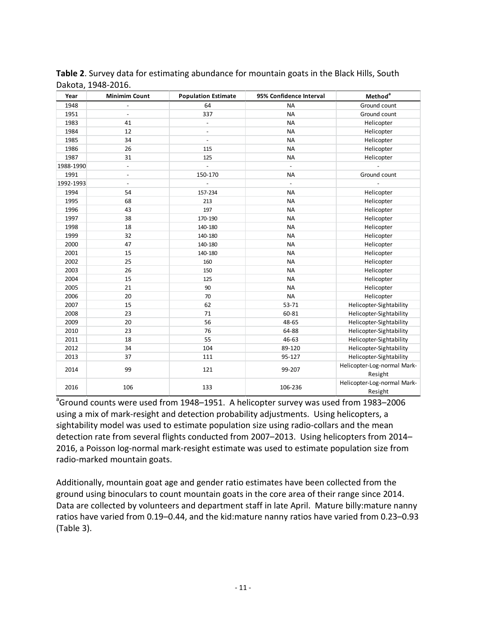| Year      | <b>Minimim Count</b>         | <b>Population Estimate</b> | 95% Confidence Interval  | Method <sup>a</sup>         |
|-----------|------------------------------|----------------------------|--------------------------|-----------------------------|
| 1948      |                              | 64                         | <b>NA</b>                | Ground count                |
| 1951      | $\overline{\phantom{a}}$     | 337                        | <b>NA</b>                | Ground count                |
| 1983      | 41                           | $\overline{\phantom{a}}$   | <b>NA</b>                | Helicopter                  |
| 1984      | 12                           | $\overline{a}$             | <b>NA</b>                | Helicopter                  |
| 1985      | 34                           | $\overline{\phantom{a}}$   | <b>NA</b>                | Helicopter                  |
| 1986      | 26                           | 115                        | <b>NA</b>                | Helicopter                  |
| 1987      | 31                           | 125                        | <b>NA</b>                | Helicopter                  |
| 1988-1990 | $\overline{\phantom{a}}$     | $\overline{\phantom{a}}$   | $\overline{\phantom{a}}$ |                             |
| 1991      | $\qquad \qquad \blacksquare$ | 150-170                    | <b>NA</b>                | Ground count                |
| 1992-1993 | $\overline{\phantom{a}}$     |                            | $\overline{\phantom{a}}$ |                             |
| 1994      | 54                           | 157-234                    | <b>NA</b>                | Helicopter                  |
| 1995      | 68                           | 213                        | <b>NA</b>                | Helicopter                  |
| 1996      | 43                           | 197                        | <b>NA</b>                | Helicopter                  |
| 1997      | 38                           | 170-190                    | <b>NA</b>                | Helicopter                  |
| 1998      | 18                           | 140-180                    | <b>NA</b>                | Helicopter                  |
| 1999      | 32                           | 140-180                    | <b>NA</b>                | Helicopter                  |
| 2000      | 47                           | 140-180                    | <b>NA</b>                | Helicopter                  |
| 2001      | 15                           | 140-180                    | <b>NA</b>                | Helicopter                  |
| 2002      | 25                           | 160                        | <b>NA</b>                | Helicopter                  |
| 2003      | 26                           | 150                        | <b>NA</b>                | Helicopter                  |
| 2004      | 15                           | 125                        | <b>NA</b>                | Helicopter                  |
| 2005      | 21                           | 90                         | <b>NA</b>                | Helicopter                  |
| 2006      | 20                           | 70                         | <b>NA</b>                | Helicopter                  |
| 2007      | 15                           | 62                         | 53-71                    | Helicopter-Sightability     |
| 2008      | 23                           | 71                         | 60-81                    | Helicopter-Sightability     |
| 2009      | 20                           | 56                         | 48-65                    | Helicopter-Sightability     |
| 2010      | 23                           | 76                         | 64-88                    | Helicopter-Sightability     |
| 2011      | 18                           | 55                         | 46-63                    | Helicopter-Sightability     |
| 2012      | 34                           | 104                        | 89-120                   | Helicopter-Sightability     |
| 2013      | 37                           | 111                        | 95-127                   | Helicopter-Sightability     |
| 2014      | 99                           | 121                        | 99-207                   | Helicopter-Log-normal Mark- |
|           |                              |                            |                          | Resight                     |
| 2016      | 106                          | 133                        | 106-236                  | Helicopter-Log-normal Mark- |
|           |                              |                            |                          | Resight                     |

**Table 2**. Survey data for estimating abundance for mountain goats in the Black Hills, South Dakota, 1948-2016.

<sup>a</sup>Ground counts were used from 1948–1951. A helicopter survey was used from 1983–2006 using a mix of mark-resight and detection probability adjustments. Using helicopters, a sightability model was used to estimate population size using radio-collars and the mean detection rate from several flights conducted from 2007–2013. Using helicopters from 2014– 2016, a Poisson log-normal mark-resight estimate was used to estimate population size from radio-marked mountain goats.

Additionally, mountain goat age and gender ratio estimates have been collected from the ground using binoculars to count mountain goats in the core area of their range since 2014. Data are collected by volunteers and department staff in late April. Mature billy:mature nanny ratios have varied from 0.19–0.44, and the kid:mature nanny ratios have varied from 0.23–0.93 (Table 3).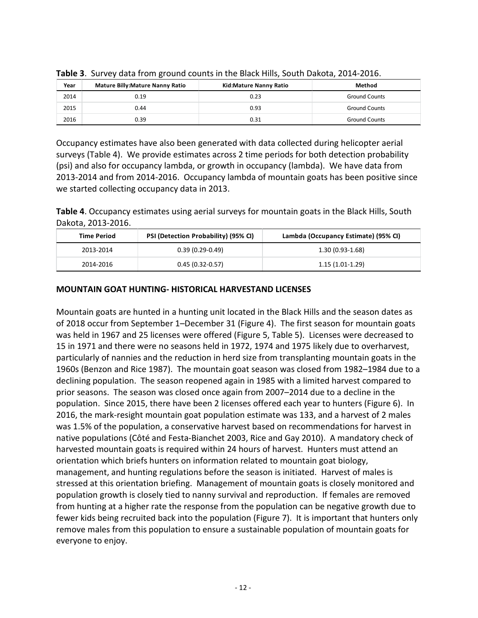| Year | <b>Mature Billy: Mature Nanny Ratio</b> | <b>Kid:Mature Nanny Ratio</b> | Method               |
|------|-----------------------------------------|-------------------------------|----------------------|
| 2014 | 0.19                                    | 0.23                          | <b>Ground Counts</b> |
| 2015 | 0.44                                    | 0.93                          | <b>Ground Counts</b> |
| 2016 | 0.39                                    | 0.31                          | <b>Ground Counts</b> |

**Table 3**. Survey data from ground counts in the Black Hills, South Dakota, 2014-2016.

Occupancy estimates have also been generated with data collected during helicopter aerial surveys (Table 4). We provide estimates across 2 time periods for both detection probability (psi) and also for occupancy lambda, or growth in occupancy (lambda). We have data from 2013-2014 and from 2014-2016. Occupancy lambda of mountain goats has been positive since we started collecting occupancy data in 2013.

**Table 4**. Occupancy estimates using aerial surveys for mountain goats in the Black Hills, South Dakota, 2013-2016.

| Time Period | PSI (Detection Probability) (95% CI) | Lambda (Occupancy Estimate) (95% CI) |
|-------------|--------------------------------------|--------------------------------------|
| 2013-2014   | $0.39(0.29-0.49)$                    | $1.30(0.93-1.68)$                    |
| 2014-2016   | $0.45(0.32-0.57)$                    | $1.15(1.01-1.29)$                    |

## **MOUNTAIN GOAT HUNTING- HISTORICAL HARVESTAND LICENSES**

Mountain goats are hunted in a hunting unit located in the Black Hills and the season dates as of 2018 occur from September 1–December 31 (Figure 4). The first season for mountain goats was held in 1967 and 25 licenses were offered (Figure 5, Table 5). Licenses were decreased to 15 in 1971 and there were no seasons held in 1972, 1974 and 1975 likely due to overharvest, particularly of nannies and the reduction in herd size from transplanting mountain goats in the 1960s (Benzon and Rice 1987). The mountain goat season was closed from 1982–1984 due to a declining population. The season reopened again in 1985 with a limited harvest compared to prior seasons. The season was closed once again from 2007–2014 due to a decline in the population. Since 2015, there have been 2 licenses offered each year to hunters (Figure 6). In 2016, the mark-resight mountain goat population estimate was 133, and a harvest of 2 males was 1.5% of the population, a conservative harvest based on recommendations for harvest in native populations (Côté and Festa-Bianchet 2003, Rice and Gay 2010). A mandatory check of harvested mountain goats is required within 24 hours of harvest. Hunters must attend an orientation which briefs hunters on information related to mountain goat biology, management, and hunting regulations before the season is initiated. Harvest of males is stressed at this orientation briefing. Management of mountain goats is closely monitored and population growth is closely tied to nanny survival and reproduction. If females are removed from hunting at a higher rate the response from the population can be negative growth due to fewer kids being recruited back into the population (Figure 7). It is important that hunters only remove males from this population to ensure a sustainable population of mountain goats for everyone to enjoy.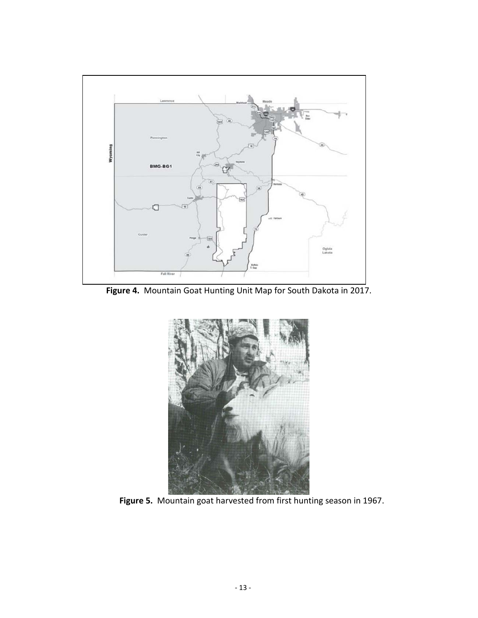

**Figure 4.** Mountain Goat Hunting Unit Map for South Dakota in 2017.



**Figure 5.** Mountain goat harvested from first hunting season in 1967.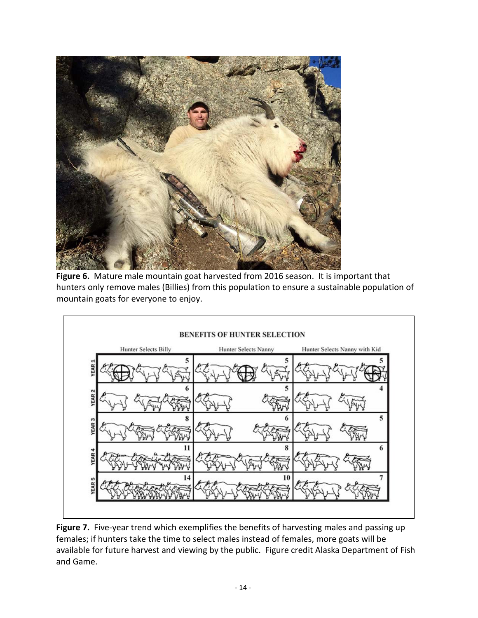

**Figure 6.** Mature male mountain goat harvested from 2016 season. It is important that hunters only remove males (Billies) from this population to ensure a sustainable population of mountain goats for everyone to enjoy.



Figure 7. Five-year trend which exemplifies the benefits of harvesting males and passing up females; if hunters take the time to select males instead of females, more goats will be available for future harvest and viewing by the public. Figure credit Alaska Department of Fish and Game.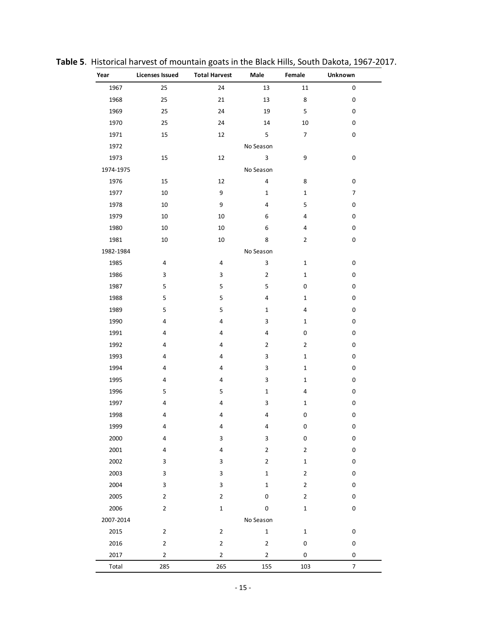| Year      | <b>Licenses Issued</b><br><b>Total Harvest</b> |                         | Male                    | Female                  | Unknown                 |  |  |
|-----------|------------------------------------------------|-------------------------|-------------------------|-------------------------|-------------------------|--|--|
| 1967      | 25                                             | 24                      | 13                      | $11\,$                  | $\pmb{0}$               |  |  |
| 1968      | 25                                             | 21                      | 13                      | 8                       | $\pmb{0}$               |  |  |
| 1969      | 25                                             | 24                      | 19                      | 5                       | 0                       |  |  |
| 1970      | 25                                             | 24                      | 14                      | $10\,$                  | $\pmb{0}$               |  |  |
| 1971      | 15                                             | $12\,$                  | 5                       | $\overline{7}$          | $\pmb{0}$               |  |  |
| 1972      |                                                |                         | No Season               |                         |                         |  |  |
| 1973      | 15                                             | $12\,$                  | $\overline{\mathbf{3}}$ | 9                       | $\pmb{0}$               |  |  |
| 1974-1975 |                                                |                         | No Season               |                         |                         |  |  |
| 1976      | 15                                             | 12                      | 4                       | 8                       | $\pmb{0}$               |  |  |
| 1977      | 10                                             | 9                       | $\mathbf{1}$            | $\mathbf{1}$            | $\overline{7}$          |  |  |
| 1978      | 10                                             | 9                       | 4                       | 5                       | 0                       |  |  |
| 1979      | 10                                             | 10                      | 6                       | $\overline{\mathbf{4}}$ | $\pmb{0}$               |  |  |
| 1980      | 10                                             | 10                      | 6                       | $\overline{4}$          | $\pmb{0}$               |  |  |
| 1981      | 10                                             | 10                      | 8                       | $\overline{2}$          | $\pmb{0}$               |  |  |
| 1982-1984 |                                                |                         | No Season               |                         |                         |  |  |
| 1985      | 4                                              | 4                       | 3                       | $\mathbf 1$             | $\pmb{0}$               |  |  |
| 1986      | 3                                              | 3                       | $\overline{2}$          | $\mathbf{1}$            | $\pmb{0}$               |  |  |
| 1987      | 5                                              | 5                       | 5                       | $\pmb{0}$               | $\pmb{0}$               |  |  |
| 1988      | 5                                              | 5                       | 4                       | $\mathbf{1}$            | 0                       |  |  |
| 1989      | 5                                              | 5                       | $\mathbf{1}$            | $\overline{4}$          | $\pmb{0}$               |  |  |
| 1990      | $\overline{\mathbf{4}}$                        | $\overline{\mathbf{4}}$ | 3                       | $\mathbf{1}$            | $\pmb{0}$               |  |  |
| 1991      | 4                                              | $\overline{\mathbf{4}}$ | $\overline{4}$          | $\pmb{0}$               | $\pmb{0}$               |  |  |
| 1992      | 4                                              | 4                       | $\overline{2}$          | $\overline{2}$          | 0                       |  |  |
| 1993      | 4                                              | 4                       | 3                       | $\mathbf{1}$            | $\pmb{0}$               |  |  |
| 1994      | 4                                              | 4                       | 3                       | $\mathbf 1$             | $\pmb{0}$               |  |  |
| 1995      | 4                                              | 4                       | 3                       | $\mathbf{1}$            | $\pmb{0}$               |  |  |
| 1996      | 5                                              | 5                       | $\mathbf{1}$            | $\overline{\mathbf{4}}$ | 0                       |  |  |
| 1997      | 4                                              | 4                       | 3                       | $\mathbf 1$             | $\pmb{0}$               |  |  |
| 1998      | $\overline{\mathbf{4}}$                        | 4                       | $\overline{\mathbf{4}}$ | $\pmb{0}$               | $\pmb{0}$               |  |  |
| 1999      | 4                                              | 4                       | 4                       | $\pmb{0}$               | $\pmb{0}$               |  |  |
| 2000      | 4                                              | 3                       | 3                       | $\pmb{0}$               | $\pmb{0}$               |  |  |
| 2001      | 4                                              | 4                       | $\mathbf{2}$            | $\mathbf{2}$            | $\pmb{0}$               |  |  |
| 2002      | 3                                              | 3                       | $\overline{2}$          | $\mathbf 1$             | $\pmb{0}$               |  |  |
| 2003      | 3                                              | 3                       | $\mathbf 1$             | $\mathbf{2}$            | $\pmb{0}$               |  |  |
| 2004      | 3                                              | 3                       | $\mathbf{1}$            | $\mathbf{2}$            | $\pmb{0}$               |  |  |
| 2005      | $\mathbf{2}$                                   | $\overline{2}$          | 0                       | $\mathbf{2}$            | $\pmb{0}$               |  |  |
| 2006      | $\mathbf{2}$                                   | $\mathbf 1$             | $\pmb{0}$               | $\mathbf 1$             | 0                       |  |  |
| 2007-2014 |                                                |                         | No Season               |                         |                         |  |  |
| 2015      | $\mathbf{2}$                                   | $\mathbf{2}$            | $\mathbf 1$             | $\mathbf 1$             | $\pmb{0}$               |  |  |
| 2016      | $\mathbf{2}$                                   | $\overline{2}$          | $\mathbf{2}$            | $\mathbf 0$             | $\pmb{0}$               |  |  |
| 2017      | $\mathbf 2$                                    | $\overline{2}$          | $\mathbf{2}$            | $\mathbf 0$             | $\pmb{0}$               |  |  |
| Total     | 285                                            | 265                     | 155                     | 103                     | $\overline{\mathbf{7}}$ |  |  |

**Table 5**. Historical harvest of mountain goats in the Black Hills, South Dakota, 1967-2017.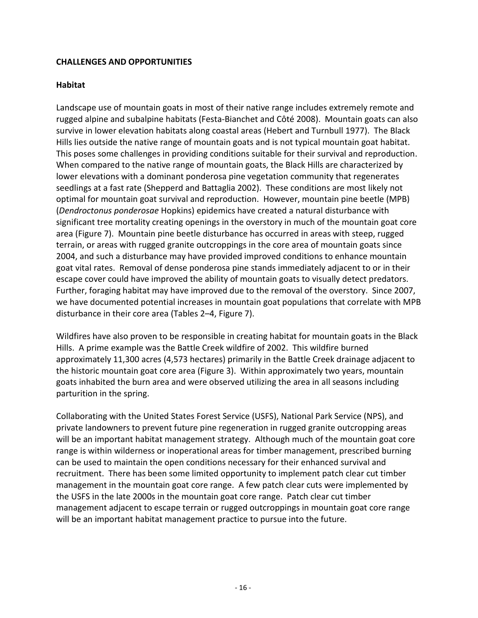## **CHALLENGES AND OPPORTUNITIES**

#### **Habitat**

Landscape use of mountain goats in most of their native range includes extremely remote and rugged alpine and subalpine habitats (Festa-Bianchet and Côté 2008). Mountain goats can also survive in lower elevation habitats along coastal areas (Hebert and Turnbull 1977). The Black Hills lies outside the native range of mountain goats and is not typical mountain goat habitat. This poses some challenges in providing conditions suitable for their survival and reproduction. When compared to the native range of mountain goats, the Black Hills are characterized by lower elevations with a dominant ponderosa pine vegetation community that regenerates seedlings at a fast rate (Shepperd and Battaglia 2002). These conditions are most likely not optimal for mountain goat survival and reproduction. However, mountain pine beetle (MPB) (*Dendroctonus ponderosae* Hopkins) epidemics have created a natural disturbance with significant tree mortality creating openings in the overstory in much of the mountain goat core area (Figure 7). Mountain pine beetle disturbance has occurred in areas with steep, rugged terrain, or areas with rugged granite outcroppings in the core area of mountain goats since 2004, and such a disturbance may have provided improved conditions to enhance mountain goat vital rates. Removal of dense ponderosa pine stands immediately adjacent to or in their escape cover could have improved the ability of mountain goats to visually detect predators. Further, foraging habitat may have improved due to the removal of the overstory. Since 2007, we have documented potential increases in mountain goat populations that correlate with MPB disturbance in their core area (Tables 2–4, Figure 7).

Wildfires have also proven to be responsible in creating habitat for mountain goats in the Black Hills. A prime example was the Battle Creek wildfire of 2002. This wildfire burned approximately 11,300 acres (4,573 hectares) primarily in the Battle Creek drainage adjacent to the historic mountain goat core area (Figure 3). Within approximately two years, mountain goats inhabited the burn area and were observed utilizing the area in all seasons including parturition in the spring.

Collaborating with the United States Forest Service (USFS), National Park Service (NPS), and private landowners to prevent future pine regeneration in rugged granite outcropping areas will be an important habitat management strategy. Although much of the mountain goat core range is within wilderness or inoperational areas for timber management, prescribed burning can be used to maintain the open conditions necessary for their enhanced survival and recruitment. There has been some limited opportunity to implement patch clear cut timber management in the mountain goat core range. A few patch clear cuts were implemented by the USFS in the late 2000s in the mountain goat core range. Patch clear cut timber management adjacent to escape terrain or rugged outcroppings in mountain goat core range will be an important habitat management practice to pursue into the future.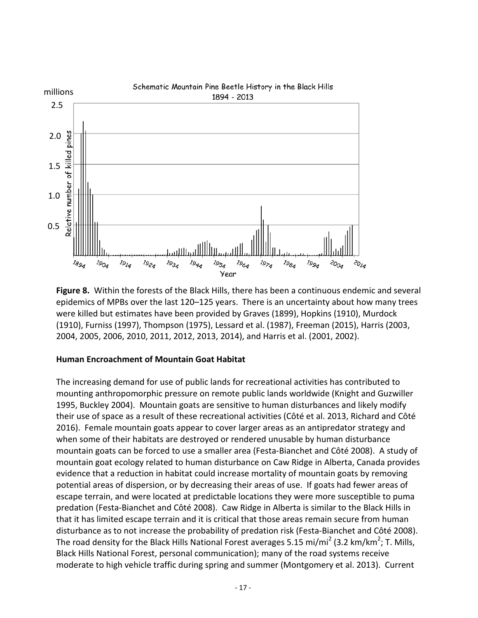

**Figure 8.** Within the forests of the Black Hills, there has been a continuous endemic and several epidemics of MPBs over the last 120–125 years. There is an uncertainty about how many trees were killed but estimates have been provided by Graves (1899), Hopkins (1910), Murdock (1910), Furniss (1997), Thompson (1975), Lessard et al. (1987), Freeman (2015), Harris (2003, 2004, 2005, 2006, 2010, 2011, 2012, 2013, 2014), and Harris et al. (2001, 2002).

#### **Human Encroachment of Mountain Goat Habitat**

The increasing demand for use of public lands for recreational activities has contributed to mounting anthropomorphic pressure on remote public lands worldwide (Knight and Guzwiller 1995, Buckley 2004). Mountain goats are sensitive to human disturbances and likely modify their use of space as a result of these recreational activities (Côté et al. 2013, Richard and Côté 2016). Female mountain goats appear to cover larger areas as an antipredator strategy and when some of their habitats are destroyed or rendered unusable by human disturbance mountain goats can be forced to use a smaller area (Festa-Bianchet and Côté 2008). A study of mountain goat ecology related to human disturbance on Caw Ridge in Alberta, Canada provides evidence that a reduction in habitat could increase mortality of mountain goats by removing potential areas of dispersion, or by decreasing their areas of use. If goats had fewer areas of escape terrain, and were located at predictable locations they were more susceptible to puma predation (Festa-Bianchet and Côté 2008). Caw Ridge in Alberta is similar to the Black Hills in that it has limited escape terrain and it is critical that those areas remain secure from human disturbance as to not increase the probability of predation risk (Festa-Bianchet and Côté 2008). The road density for the Black Hills National Forest averages 5.15 mi/mi<sup>2</sup> (3.2 km/km<sup>2</sup>; T. Mills, Black Hills National Forest, personal communication); many of the road systems receive moderate to high vehicle traffic during spring and summer (Montgomery et al. 2013). Current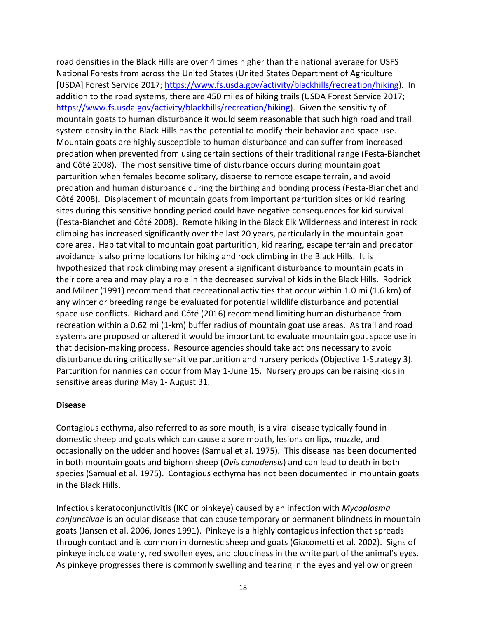road densities in the Black Hills are over 4 times higher than the national average for USFS National Forests from across the United States (United States Department of Agriculture [USDA] Forest Service 2017; [https://www.fs.usda.gov/activity/blackhills/recreation/hiking\)](https://www.fs.usda.gov/activity/blackhills/recreation/hiking). In addition to the road systems, there are 450 miles of hiking trails (USDA Forest Service 2017; [https://www.fs.usda.gov/activity/blackhills/recreation/hiking\)](https://www.fs.usda.gov/activity/blackhills/recreation/hiking). Given the sensitivity of mountain goats to human disturbance it would seem reasonable that such high road and trail system density in the Black Hills has the potential to modify their behavior and space use. Mountain goats are highly susceptible to human disturbance and can suffer from increased predation when prevented from using certain sections of their traditional range (Festa-Bianchet and Côté 2008). The most sensitive time of disturbance occurs during mountain goat parturition when females become solitary, disperse to remote escape terrain, and avoid predation and human disturbance during the birthing and bonding process (Festa-Bianchet and Côté 2008). Displacement of mountain goats from important parturition sites or kid rearing sites during this sensitive bonding period could have negative consequences for kid survival (Festa-Bianchet and Côté 2008). Remote hiking in the Black Elk Wilderness and interest in rock climbing has increased significantly over the last 20 years, particularly in the mountain goat core area. Habitat vital to mountain goat parturition, kid rearing, escape terrain and predator avoidance is also prime locations for hiking and rock climbing in the Black Hills. It is hypothesized that rock climbing may present a significant disturbance to mountain goats in their core area and may play a role in the decreased survival of kids in the Black Hills. Rodrick and Milner (1991) recommend that recreational activities that occur within 1.0 mi (1.6 km) of any winter or breeding range be evaluated for potential wildlife disturbance and potential space use conflicts. Richard and Côté (2016) recommend limiting human disturbance from recreation within a 0.62 mi (1-km) buffer radius of mountain goat use areas. As trail and road systems are proposed or altered it would be important to evaluate mountain goat space use in that decision-making process. Resource agencies should take actions necessary to avoid disturbance during critically sensitive parturition and nursery periods (Objective 1-Strategy 3). Parturition for nannies can occur from May 1-June 15. Nursery groups can be raising kids in sensitive areas during May 1- August 31.

## **Disease**

Contagious ecthyma, also referred to as sore mouth, is a viral disease typically found in domestic sheep and goats which can cause a sore mouth, lesions on lips, muzzle, and occasionally on the udder and hooves (Samual et al. 1975). This disease has been documented in both mountain goats and bighorn sheep (*Ovis canadensis*) and can lead to death in both species (Samual et al. 1975). Contagious ecthyma has not been documented in mountain goats in the Black Hills.

Infectious keratoconjunctivitis (IKC or pinkeye) caused by an infection with *Mycoplasma conjunctivae* is an ocular disease that can cause temporary or permanent blindness in mountain goats (Jansen et al. 2006, Jones 1991). Pinkeye is a highly contagious infection that spreads through contact and is common in domestic sheep and goats (Giacometti et al. 2002). Signs of pinkeye include watery, red swollen eyes, and cloudiness in the white part of the animal's eyes. As pinkeye progresses there is commonly swelling and tearing in the eyes and yellow or green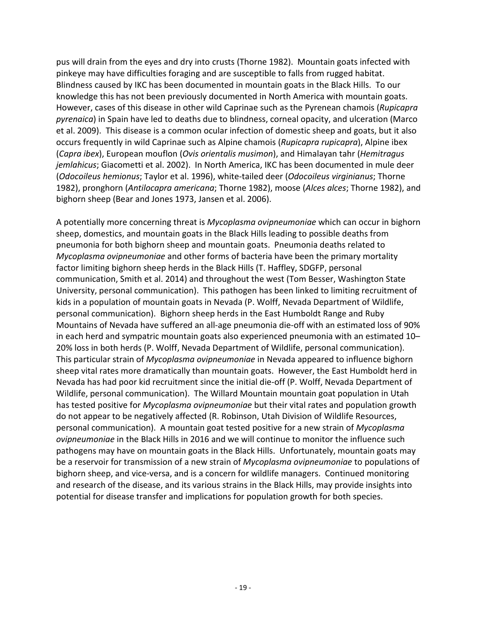pus will drain from the eyes and dry into crusts (Thorne 1982). Mountain goats infected with pinkeye may have difficulties foraging and are susceptible to falls from rugged habitat. Blindness caused by IKC has been documented in mountain goats in the Black Hills. To our knowledge this has not been previously documented in North America with mountain goats. However, cases of this disease in other wild Caprinae such as the Pyrenean chamois (*Rupicapra pyrenaica*) in Spain have led to deaths due to blindness, corneal opacity, and ulceration (Marco et al. 2009). This disease is a common ocular infection of domestic sheep and goats, but it also occurs frequently in wild Caprinae such as Alpine chamois (*Rupicapra rupicapra*), Alpine ibex (*Capra ibex*), European mouflon (*Ovis orientalis musimon*), and Himalayan tahr (*Hemitragus jemlahicus*; Giacometti et al. 2002). In North America, IKC has been documented in mule deer (*Odocoileus hemionus*; Taylor et al. 1996), white-tailed deer (*Odocoileus virginianus*; Thorne 1982), pronghorn (*Antilocapra americana*; Thorne 1982), moose (*Alces alces*; Thorne 1982), and bighorn sheep (Bear and Jones 1973, Jansen et al. 2006).

A potentially more concerning threat is *Mycoplasma ovipneumoniae* which can occur in bighorn sheep, domestics, and mountain goats in the Black Hills leading to possible deaths from pneumonia for both bighorn sheep and mountain goats. Pneumonia deaths related to *Mycoplasma ovipneumoniae* and other forms of bacteria have been the primary mortality factor limiting bighorn sheep herds in the Black Hills (T. Haffley, SDGFP, personal communication, Smith et al. 2014) and throughout the west (Tom Besser, Washington State University, personal communication). This pathogen has been linked to limiting recruitment of kids in a population of mountain goats in Nevada (P. Wolff, Nevada Department of Wildlife, personal communication). Bighorn sheep herds in the East Humboldt Range and Ruby Mountains of Nevada have suffered an all-age pneumonia die-off with an estimated loss of 90% in each herd and sympatric mountain goats also experienced pneumonia with an estimated 10– 20% loss in both herds (P. Wolff, Nevada Department of Wildlife, personal communication). This particular strain of *Mycoplasma ovipneumoniae* in Nevada appeared to influence bighorn sheep vital rates more dramatically than mountain goats. However, the East Humboldt herd in Nevada has had poor kid recruitment since the initial die-off (P. Wolff, Nevada Department of Wildlife, personal communication). The Willard Mountain mountain goat population in Utah has tested positive for *Mycoplasma ovipneumoniae* but their vital rates and population growth do not appear to be negatively affected (R. Robinson, Utah Division of Wildlife Resources, personal communication). A mountain goat tested positive for a new strain of *Mycoplasma ovipneumoniae* in the Black Hills in 2016 and we will continue to monitor the influence such pathogens may have on mountain goats in the Black Hills. Unfortunately, mountain goats may be a reservoir for transmission of a new strain of *Mycoplasma ovipneumoniae* to populations of bighorn sheep, and vice-versa, and is a concern for wildlife managers. Continued monitoring and research of the disease, and its various strains in the Black Hills, may provide insights into potential for disease transfer and implications for population growth for both species.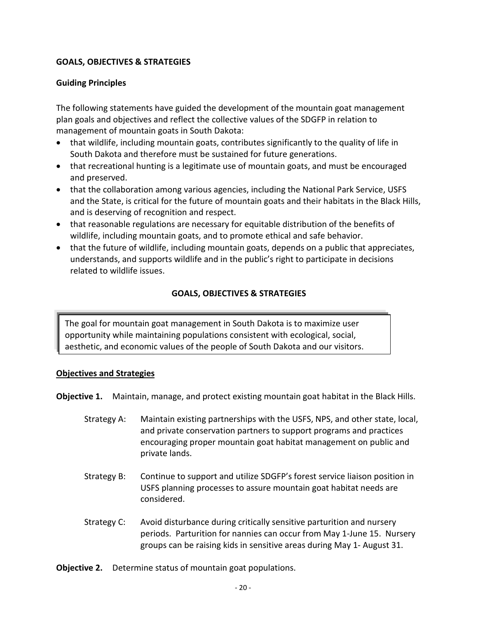## **GOALS, OBJECTIVES & STRATEGIES**

#### **Guiding Principles**

The following statements have guided the development of the mountain goat management plan goals and objectives and reflect the collective values of the SDGFP in relation to management of mountain goats in South Dakota:

- that wildlife, including mountain goats, contributes significantly to the quality of life in South Dakota and therefore must be sustained for future generations.
- that recreational hunting is a legitimate use of mountain goats, and must be encouraged and preserved.
- that the collaboration among various agencies, including the National Park Service, USFS and the State, is critical for the future of mountain goats and their habitats in the Black Hills, and is deserving of recognition and respect.
- that reasonable regulations are necessary for equitable distribution of the benefits of wildlife, including mountain goats, and to promote ethical and safe behavior.
- that the future of wildlife, including mountain goats, depends on a public that appreciates, understands, and supports wildlife and in the public's right to participate in decisions related to wildlife issues.

## **GOALS, OBJECTIVES & STRATEGIES**

The goal for mountain goat management in South Dakota is to maximize user opportunity while maintaining populations consistent with ecological, social, aesthetic, and economic values of the people of South Dakota and our visitors.

#### **Objectives and Strategies**

**Objective 1.** Maintain, manage, and protect existing mountain goat habitat in the Black Hills.

- Strategy A: Maintain existing partnerships with the USFS, NPS, and other state, local, and private conservation partners to support programs and practices encouraging proper mountain goat habitat management on public and private lands.
- Strategy B: Continue to support and utilize SDGFP's forest service liaison position in USFS planning processes to assure mountain goat habitat needs are considered.
- Strategy C: Avoid disturbance during critically sensitive parturition and nursery periods. Parturition for nannies can occur from May 1-June 15. Nursery groups can be raising kids in sensitive areas during May 1- August 31.
- **Objective 2.** Determine status of mountain goat populations.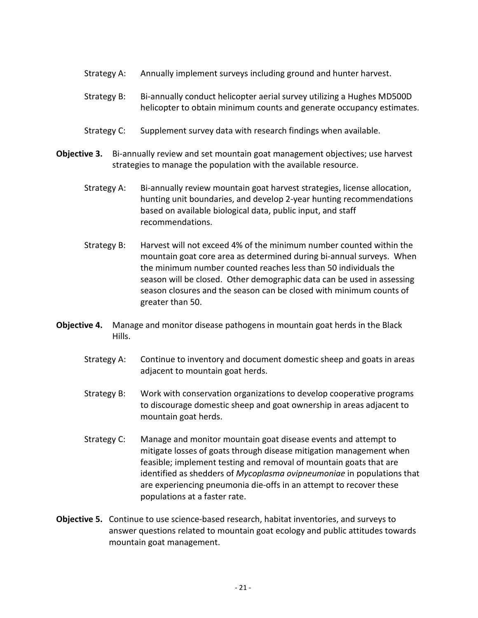- Strategy A: Annually implement surveys including ground and hunter harvest.
- Strategy B: Bi-annually conduct helicopter aerial survey utilizing a Hughes MD500D helicopter to obtain minimum counts and generate occupancy estimates.
- Strategy C: Supplement survey data with research findings when available.
- **Objective 3.** Bi-annually review and set mountain goat management objectives; use harvest strategies to manage the population with the available resource.
	- Strategy A: Bi-annually review mountain goat harvest strategies, license allocation, hunting unit boundaries, and develop 2-year hunting recommendations based on available biological data, public input, and staff recommendations.
	- Strategy B: Harvest will not exceed 4% of the minimum number counted within the mountain goat core area as determined during bi-annual surveys. When the minimum number counted reaches less than 50 individuals the season will be closed. Other demographic data can be used in assessing season closures and the season can be closed with minimum counts of greater than 50.
- **Objective 4.** Manage and monitor disease pathogens in mountain goat herds in the Black Hills.
	- Strategy A: Continue to inventory and document domestic sheep and goats in areas adjacent to mountain goat herds.
	- Strategy B: Work with conservation organizations to develop cooperative programs to discourage domestic sheep and goat ownership in areas adjacent to mountain goat herds.
	- Strategy C: Manage and monitor mountain goat disease events and attempt to mitigate losses of goats through disease mitigation management when feasible; implement testing and removal of mountain goats that are identified as shedders of *Mycoplasma ovipneumoniae* in populations that are experiencing pneumonia die-offs in an attempt to recover these populations at a faster rate.
- **Objective 5.** Continue to use science-based research, habitat inventories, and surveys to answer questions related to mountain goat ecology and public attitudes towards mountain goat management.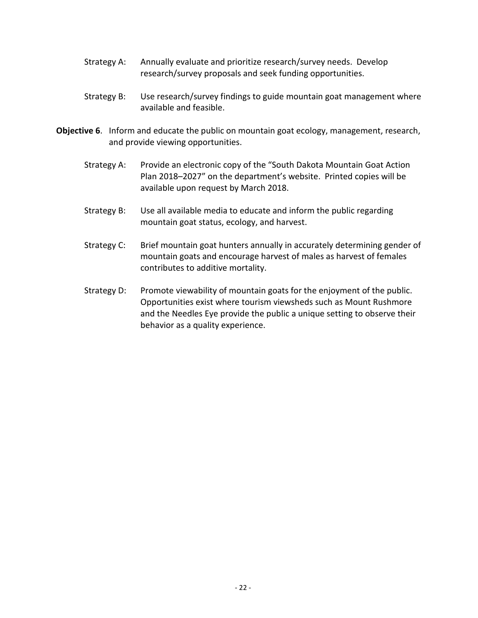- Strategy A: Annually evaluate and prioritize research/survey needs. Develop research/survey proposals and seek funding opportunities.
- Strategy B: Use research/survey findings to guide mountain goat management where available and feasible.
- **Objective 6**. Inform and educate the public on mountain goat ecology, management, research, and provide viewing opportunities.
	- Strategy A: Provide an electronic copy of the "South Dakota Mountain Goat Action Plan 2018–2027" on the department's website. Printed copies will be available upon request by March 2018.
	- Strategy B: Use all available media to educate and inform the public regarding mountain goat status, ecology, and harvest.
	- Strategy C: Brief mountain goat hunters annually in accurately determining gender of mountain goats and encourage harvest of males as harvest of females contributes to additive mortality.
	- Strategy D: Promote viewability of mountain goats for the enjoyment of the public. Opportunities exist where tourism viewsheds such as Mount Rushmore and the Needles Eye provide the public a unique setting to observe their behavior as a quality experience.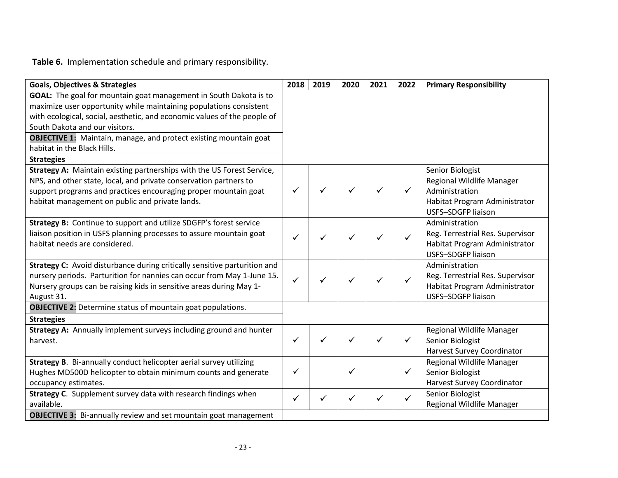**Table 6.** Implementation schedule and primary responsibility.

| <b>Goals, Objectives &amp; Strategies</b>                                                                                                                                                                                                                         | 2018         | 2019 | 2020 | 2021 | 2022         | <b>Primary Responsibility</b>                                                                                          |
|-------------------------------------------------------------------------------------------------------------------------------------------------------------------------------------------------------------------------------------------------------------------|--------------|------|------|------|--------------|------------------------------------------------------------------------------------------------------------------------|
| GOAL: The goal for mountain goat management in South Dakota is to<br>maximize user opportunity while maintaining populations consistent<br>with ecological, social, aesthetic, and economic values of the people of<br>South Dakota and our visitors.             |              |      |      |      |              |                                                                                                                        |
| <b>OBJECTIVE 1:</b> Maintain, manage, and protect existing mountain goat<br>habitat in the Black Hills.                                                                                                                                                           |              |      |      |      |              |                                                                                                                        |
| <b>Strategies</b>                                                                                                                                                                                                                                                 |              |      |      |      |              |                                                                                                                        |
| Strategy A: Maintain existing partnerships with the US Forest Service,<br>NPS, and other state, local, and private conservation partners to<br>support programs and practices encouraging proper mountain goat<br>habitat management on public and private lands. | $\checkmark$ | ✓    | ✓    | ✓    | $\checkmark$ | Senior Biologist<br>Regional Wildlife Manager<br>Administration<br>Habitat Program Administrator<br>USFS-SDGFP liaison |
| Strategy B: Continue to support and utilize SDGFP's forest service<br>liaison position in USFS planning processes to assure mountain goat<br>habitat needs are considered.                                                                                        | ✓            | ✓    | ✓    | ✓    | $\checkmark$ | Administration<br>Reg. Terrestrial Res. Supervisor<br>Habitat Program Administrator<br><b>USFS-SDGFP liaison</b>       |
| Strategy C: Avoid disturbance during critically sensitive parturition and<br>nursery periods. Parturition for nannies can occur from May 1-June 15.<br>Nursery groups can be raising kids in sensitive areas during May 1-<br>August 31.                          | ✓            | ✓    | ✓    | ✓    | ✓            | Administration<br>Reg. Terrestrial Res. Supervisor<br>Habitat Program Administrator<br>USFS-SDGFP liaison              |
| <b>OBJECTIVE 2:</b> Determine status of mountain goat populations.                                                                                                                                                                                                |              |      |      |      |              |                                                                                                                        |
| <b>Strategies</b>                                                                                                                                                                                                                                                 |              |      |      |      |              |                                                                                                                        |
| Strategy A: Annually implement surveys including ground and hunter<br>harvest.                                                                                                                                                                                    | ✓            | ✓    | ✓    | ✓    | ✓            | Regional Wildlife Manager<br>Senior Biologist<br>Harvest Survey Coordinator                                            |
| Strategy B. Bi-annually conduct helicopter aerial survey utilizing<br>Hughes MD500D helicopter to obtain minimum counts and generate<br>occupancy estimates.                                                                                                      | ✓            |      | ✓    |      | $\checkmark$ | Regional Wildlife Manager<br>Senior Biologist<br>Harvest Survey Coordinator                                            |
| Strategy C. Supplement survey data with research findings when<br>available.                                                                                                                                                                                      | $\checkmark$ | ✓    | ✓    | ✓    | $\checkmark$ | Senior Biologist<br>Regional Wildlife Manager                                                                          |
| <b>OBJECTIVE 3:</b> Bi-annually review and set mountain goat management                                                                                                                                                                                           |              |      |      |      |              |                                                                                                                        |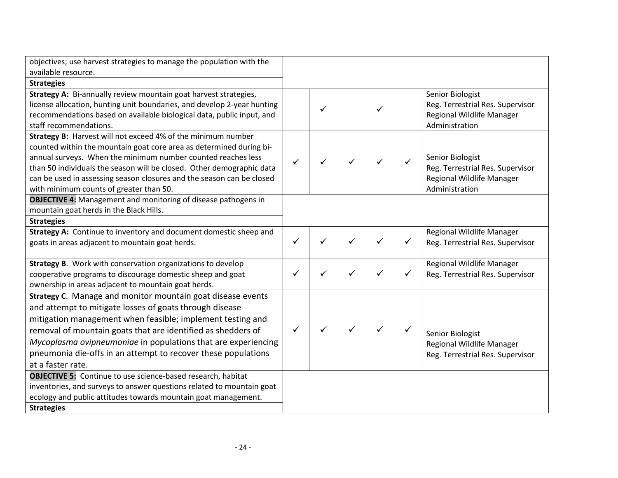| objectives; use harvest strategies to manage the population with the                                                                                                                                                                                                                                                                                                                                        |   |   |   |   |   |                                                                                                     |
|-------------------------------------------------------------------------------------------------------------------------------------------------------------------------------------------------------------------------------------------------------------------------------------------------------------------------------------------------------------------------------------------------------------|---|---|---|---|---|-----------------------------------------------------------------------------------------------------|
| available resource.                                                                                                                                                                                                                                                                                                                                                                                         |   |   |   |   |   |                                                                                                     |
| <b>Strategies</b>                                                                                                                                                                                                                                                                                                                                                                                           |   |   |   |   |   |                                                                                                     |
| Strategy A: Bi-annually review mountain goat harvest strategies,<br>license allocation, hunting unit boundaries, and develop 2-year hunting<br>recommendations based on available biological data, public input, and<br>staff recommendations.                                                                                                                                                              |   | ✓ |   | ✓ |   | Senior Biologist<br>Reg. Terrestrial Res. Supervisor<br>Regional Wildlife Manager<br>Administration |
| Strategy B: Harvest will not exceed 4% of the minimum number<br>counted within the mountain goat core area as determined during bi-<br>annual surveys. When the minimum number counted reaches less<br>than 50 individuals the season will be closed. Other demographic data<br>can be used in assessing season closures and the season can be closed<br>with minimum counts of greater than 50.            | ✓ |   |   | ✓ | ✓ | Senior Biologist<br>Reg. Terrestrial Res. Supervisor<br>Regional Wildlife Manager<br>Administration |
| <b>OBJECTIVE 4:</b> Management and monitoring of disease pathogens in<br>mountain goat herds in the Black Hills.<br><b>Strategies</b>                                                                                                                                                                                                                                                                       |   |   |   |   |   |                                                                                                     |
| Strategy A: Continue to inventory and document domestic sheep and<br>goats in areas adjacent to mountain goat herds.                                                                                                                                                                                                                                                                                        | ✓ | ✓ | ✓ | ✓ | ✓ | Regional Wildlife Manager<br>Reg. Terrestrial Res. Supervisor                                       |
| Strategy B. Work with conservation organizations to develop<br>cooperative programs to discourage domestic sheep and goat<br>ownership in areas adjacent to mountain goat herds.                                                                                                                                                                                                                            | ✓ | ✓ | ✓ | ✓ | ✓ | Regional Wildlife Manager<br>Reg. Terrestrial Res. Supervisor                                       |
| Strategy C. Manage and monitor mountain goat disease events<br>and attempt to mitigate losses of goats through disease<br>mitigation management when feasible; implement testing and<br>removal of mountain goats that are identified as shedders of<br>Mycoplasma ovipneumoniae in populations that are experiencing<br>pneumonia die-offs in an attempt to recover these populations<br>at a faster rate. | ✓ |   |   | ✓ |   | Senior Biologist<br>Regional Wildlife Manager<br>Reg. Terrestrial Res. Supervisor                   |
| <b>OBJECTIVE 5:</b> Continue to use science-based research, habitat<br>inventories, and surveys to answer questions related to mountain goat<br>ecology and public attitudes towards mountain goat management.<br><b>Strategies</b>                                                                                                                                                                         |   |   |   |   |   |                                                                                                     |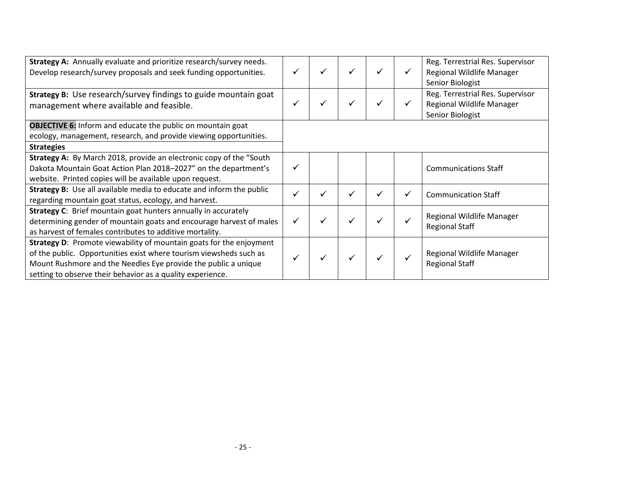| Strategy A: Annually evaluate and prioritize research/survey needs.<br>Develop research/survey proposals and seek funding opportunities. | ✓            | ✓            | ✓ | ✓ | $\checkmark$ | Reg. Terrestrial Res. Supervisor<br>Regional Wildlife Manager<br>Senior Biologist |
|------------------------------------------------------------------------------------------------------------------------------------------|--------------|--------------|---|---|--------------|-----------------------------------------------------------------------------------|
| Strategy B: Use research/survey findings to guide mountain goat<br>management where available and feasible.                              | ✓            | ✓            | ✓ |   | $\checkmark$ | Reg. Terrestrial Res. Supervisor<br>Regional Wildlife Manager<br>Senior Biologist |
| <b>OBJECTIVE 6:</b> Inform and educate the public on mountain goat                                                                       |              |              |   |   |              |                                                                                   |
| ecology, management, research, and provide viewing opportunities.                                                                        |              |              |   |   |              |                                                                                   |
| <b>Strategies</b>                                                                                                                        |              |              |   |   |              |                                                                                   |
| Strategy A: By March 2018, provide an electronic copy of the "South                                                                      |              |              |   |   |              |                                                                                   |
| Dakota Mountain Goat Action Plan 2018-2027" on the department's                                                                          | $\checkmark$ |              |   |   |              | <b>Communications Staff</b>                                                       |
| website. Printed copies will be available upon request.                                                                                  |              |              |   |   |              |                                                                                   |
| Strategy B: Use all available media to educate and inform the public                                                                     | $\checkmark$ | $\checkmark$ | ✓ | ✓ |              | <b>Communication Staff</b>                                                        |
| regarding mountain goat status, ecology, and harvest.                                                                                    |              |              |   |   |              |                                                                                   |
| <b>Strategy C:</b> Brief mountain goat hunters annually in accurately                                                                    |              |              |   |   |              | Regional Wildlife Manager                                                         |
| determining gender of mountain goats and encourage harvest of males                                                                      | $\checkmark$ | ✓            | ✓ | ✓ | $\checkmark$ | <b>Regional Staff</b>                                                             |
| as harvest of females contributes to additive mortality.                                                                                 |              |              |   |   |              |                                                                                   |
| <b>Strategy D:</b> Promote viewability of mountain goats for the enjoyment                                                               |              |              |   |   |              |                                                                                   |
| of the public. Opportunities exist where tourism viewsheds such as                                                                       | ✓            | ✓            | ✓ |   |              | Regional Wildlife Manager                                                         |
| Mount Rushmore and the Needles Eye provide the public a unique                                                                           |              |              |   |   |              | <b>Regional Staff</b>                                                             |
| setting to observe their behavior as a quality experience.                                                                               |              |              |   |   |              |                                                                                   |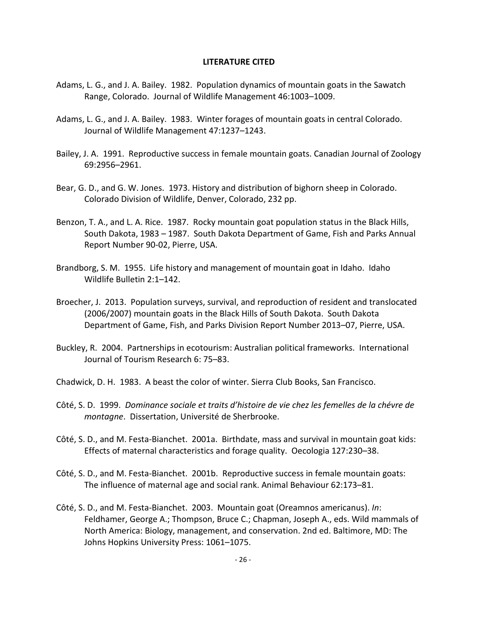#### **LITERATURE CITED**

- Adams, L. G., and J. A. Bailey. 1982. Population dynamics of mountain goats in the Sawatch Range, Colorado. Journal of Wildlife Management 46:1003–1009.
- Adams, L. G., and J. A. Bailey. 1983. Winter forages of mountain goats in central Colorado. Journal of Wildlife Management 47:1237–1243.
- Bailey, J. A. 1991. Reproductive success in female mountain goats. Canadian Journal of Zoology 69:2956–2961.
- Bear, G. D., and G. W. Jones. 1973. History and distribution of bighorn sheep in Colorado. Colorado Division of Wildlife, Denver, Colorado, 232 pp.
- Benzon, T. A., and L. A. Rice. 1987. Rocky mountain goat population status in the Black Hills, South Dakota, 1983 – 1987. South Dakota Department of Game, Fish and Parks Annual Report Number 90-02, Pierre, USA.
- Brandborg, S. M. 1955. Life history and management of mountain goat in Idaho. Idaho Wildlife Bulletin 2:1–142.
- Broecher, J. 2013. Population surveys, survival, and reproduction of resident and translocated (2006/2007) mountain goats in the Black Hills of South Dakota. South Dakota Department of Game, Fish, and Parks Division Report Number 2013–07, Pierre, USA.
- Buckley, R. 2004. Partnerships in ecotourism: Australian political frameworks. International Journal of Tourism Research 6: 75–83.
- Chadwick, D. H. 1983. A beast the color of winter. Sierra Club Books, San Francisco.
- Côté, S. D. 1999. *Dominance sociale et traits d'histoire de vie chez les femelles de la chévre de montagne*. Dissertation, Université de Sherbrooke.
- Côté, S. D., and M. Festa-Bianchet. 2001a. Birthdate, mass and survival in mountain goat kids: Effects of maternal characteristics and forage quality. Oecologia 127:230–38.
- Côté, S. D., and M. Festa-Bianchet. 2001b. Reproductive success in female mountain goats: The influence of maternal age and social rank. Animal Behaviour 62:173–81.
- Côté, S. D., and M. Festa-Bianchet. 2003. Mountain goat (Oreamnos americanus). *In*: Feldhamer, George A.; Thompson, Bruce C.; Chapman, Joseph A., eds. Wild mammals of North America: Biology, management, and conservation. 2nd ed. Baltimore, MD: The Johns Hopkins University Press: 1061–1075.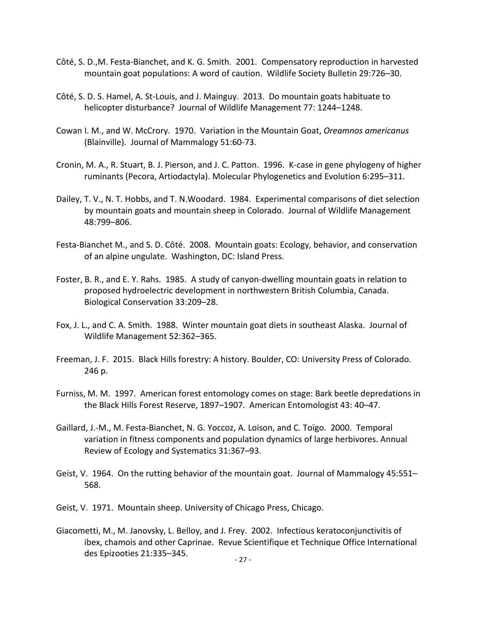- Côté, S. D.,M. Festa-Bianchet, and K. G. Smith. 2001. Compensatory reproduction in harvested mountain goat populations: A word of caution. Wildlife Society Bulletin 29:726–30.
- Côté, S. D. S. Hamel, A. St-Louis, and J. Mainguy. 2013. Do mountain goats habituate to helicopter disturbance? Journal of Wildlife Management 77: 1244–1248.
- Cowan I. M., and W. McCrory. 1970. Variation in the Mountain Goat, *Oreamnos americanus* (Blainville). Journal of Mammalogy 51:60-73.
- Cronin, M. A., R. Stuart, B. J. Pierson, and J. C. Patton. 1996. K-case in gene phylogeny of higher ruminants (Pecora, Artiodactyla). Molecular Phylogenetics and Evolution 6:295–311.
- Dailey, T. V., N. T. Hobbs, and T. N.Woodard. 1984. Experimental comparisons of diet selection by mountain goats and mountain sheep in Colorado. Journal of Wildlife Management 48:799–806.
- Festa-Bianchet M., and S. D. Côté. 2008. Mountain goats: Ecology, behavior, and conservation of an alpine ungulate. Washington, DC: Island Press.
- Foster, B. R., and E. Y. Rahs. 1985. A study of canyon-dwelling mountain goats in relation to proposed hydroelectric development in northwestern British Columbia, Canada. Biological Conservation 33:209–28.
- Fox, J. L., and C. A. Smith. 1988. Winter mountain goat diets in southeast Alaska. Journal of Wildlife Management 52:362–365.
- Freeman, J. F. 2015. Black Hills forestry: A history. Boulder, CO: University Press of Colorado. 246 p.
- Furniss, M. M. 1997. American forest entomology comes on stage: Bark beetle depredations in the Black Hills Forest Reserve, 1897–1907. American Entomologist 43: 40–47.
- Gaillard, J.-M., M. Festa-Bianchet, N. G. Yoccoz, A. Loison, and C. Toїgo. 2000. Temporal variation in fitness components and population dynamics of large herbivores. Annual Review of Ecology and Systematics 31:367–93.
- Geist, V. 1964. On the rutting behavior of the mountain goat. Journal of Mammalogy 45:551– 568.
- Geist, V. 1971. Mountain sheep. University of Chicago Press, Chicago.
- Giacometti, M., M. Janovsky, L. Belloy, and J. Frey. 2002. Infectious keratoconjunctivitis of ibex, chamois and other Caprinae. Revue Scientifique et Technique Office International des Epizooties 21:335–345.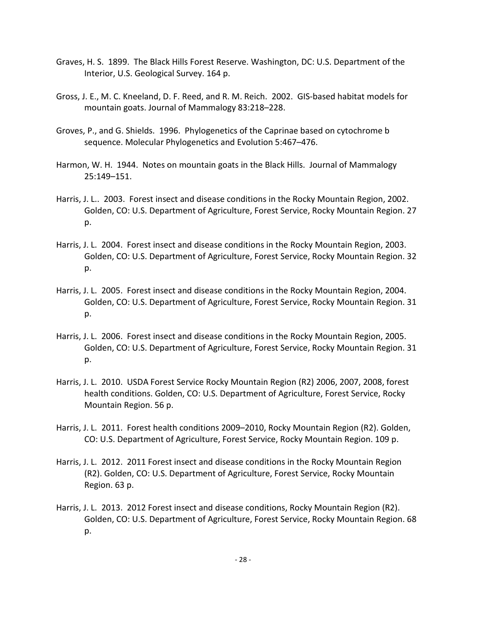- Graves, H. S. 1899. The Black Hills Forest Reserve. Washington, DC: U.S. Department of the Interior, U.S. Geological Survey. 164 p.
- Gross, J. E., M. C. Kneeland, D. F. Reed, and R. M. Reich. 2002. GIS-based habitat models for mountain goats. Journal of Mammalogy 83:218–228.
- Groves, P., and G. Shields. 1996. Phylogenetics of the Caprinae based on cytochrome b sequence. Molecular Phylogenetics and Evolution 5:467–476.
- Harmon, W. H. 1944. Notes on mountain goats in the Black Hills. Journal of Mammalogy 25:149–151.
- Harris, J. L.. 2003. Forest insect and disease conditions in the Rocky Mountain Region, 2002. Golden, CO: U.S. Department of Agriculture, Forest Service, Rocky Mountain Region. 27 p.
- Harris, J. L. 2004. Forest insect and disease conditions in the Rocky Mountain Region, 2003. Golden, CO: U.S. Department of Agriculture, Forest Service, Rocky Mountain Region. 32 p.
- Harris, J. L. 2005. Forest insect and disease conditions in the Rocky Mountain Region, 2004. Golden, CO: U.S. Department of Agriculture, Forest Service, Rocky Mountain Region. 31 p.
- Harris, J. L. 2006. Forest insect and disease conditions in the Rocky Mountain Region, 2005. Golden, CO: U.S. Department of Agriculture, Forest Service, Rocky Mountain Region. 31 p.
- Harris, J. L. 2010. USDA Forest Service Rocky Mountain Region (R2) 2006, 2007, 2008, forest health conditions. Golden, CO: U.S. Department of Agriculture, Forest Service, Rocky Mountain Region. 56 p.
- Harris, J. L. 2011. Forest health conditions 2009–2010, Rocky Mountain Region (R2). Golden, CO: U.S. Department of Agriculture, Forest Service, Rocky Mountain Region. 109 p.
- Harris, J. L. 2012. 2011 Forest insect and disease conditions in the Rocky Mountain Region (R2). Golden, CO: U.S. Department of Agriculture, Forest Service, Rocky Mountain Region. 63 p.
- Harris, J. L. 2013. 2012 Forest insect and disease conditions, Rocky Mountain Region (R2). Golden, CO: U.S. Department of Agriculture, Forest Service, Rocky Mountain Region. 68 p.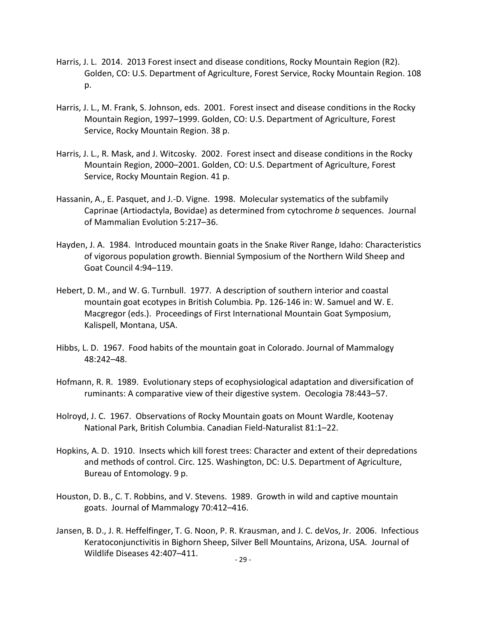- Harris, J. L. 2014. 2013 Forest insect and disease conditions, Rocky Mountain Region (R2). Golden, CO: U.S. Department of Agriculture, Forest Service, Rocky Mountain Region. 108 p.
- Harris, J. L., M. Frank, S. Johnson, eds. 2001. Forest insect and disease conditions in the Rocky Mountain Region, 1997–1999. Golden, CO: U.S. Department of Agriculture, Forest Service, Rocky Mountain Region. 38 p.
- Harris, J. L., R. Mask, and J. Witcosky. 2002. Forest insect and disease conditions in the Rocky Mountain Region, 2000–2001. Golden, CO: U.S. Department of Agriculture, Forest Service, Rocky Mountain Region. 41 p.
- Hassanin, A., E. Pasquet, and J.-D. Vigne. 1998. Molecular systematics of the subfamily Caprinae (Artiodactyla, Bovidae) as determined from cytochrome *b* sequences. Journal of Mammalian Evolution 5:217–36.
- Hayden, J. A. 1984. Introduced mountain goats in the Snake River Range, Idaho: Characteristics of vigorous population growth. Biennial Symposium of the Northern Wild Sheep and Goat Council 4:94–119.
- Hebert, D. M., and W. G. Turnbull. 1977. A description of southern interior and coastal mountain goat ecotypes in British Columbia. Pp. 126-146 in: W. Samuel and W. E. Macgregor (eds.). Proceedings of First International Mountain Goat Symposium, Kalispell, Montana, USA.
- Hibbs, L. D. 1967. Food habits of the mountain goat in Colorado. Journal of Mammalogy 48:242–48.
- Hofmann, R. R. 1989. Evolutionary steps of ecophysiological adaptation and diversification of ruminants: A comparative view of their digestive system. Oecologia 78:443–57.
- Holroyd, J. C. 1967. Observations of Rocky Mountain goats on Mount Wardle, Kootenay National Park, British Columbia. Canadian Field-Naturalist 81:1–22.
- Hopkins, A. D. 1910. Insects which kill forest trees: Character and extent of their depredations and methods of control. Circ. 125. Washington, DC: U.S. Department of Agriculture, Bureau of Entomology. 9 p.
- Houston, D. B., C. T. Robbins, and V. Stevens. 1989. Growth in wild and captive mountain goats. Journal of Mammalogy 70:412–416.
- Jansen, B. D., J. R. Heffelfinger, T. G. Noon, P. R. Krausman, and J. C. deVos, Jr. 2006. Infectious Keratoconjunctivitis in Bighorn Sheep, Silver Bell Mountains, Arizona, USA. Journal of Wildlife Diseases 42:407–411.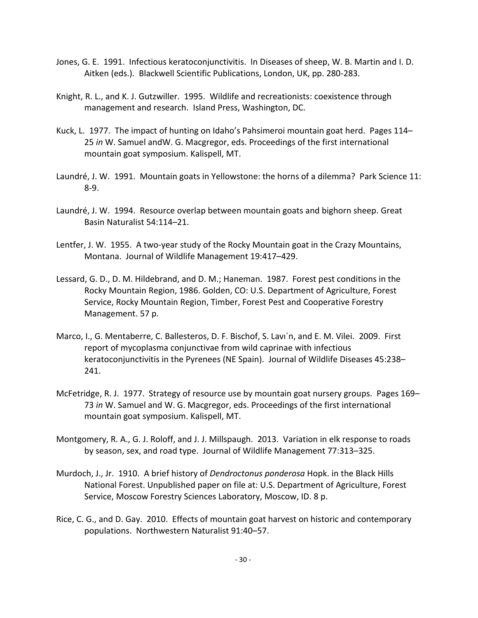- Jones, G. E. 1991. Infectious keratoconjunctivitis. In Diseases of sheep, W. B. Martin and I. D. Aitken (eds.). Blackwell Scientific Publications, London, UK, pp. 280-283.
- Knight, R. L., and K. J. Gutzwiller. 1995. Wildlife and recreationists: coexistence through management and research. Island Press, Washington, DC.
- Kuck, L. 1977. The impact of hunting on Idaho's Pahsimeroi mountain goat herd. Pages 114– 25 *in* W. Samuel andW. G. Macgregor, eds. Proceedings of the first international mountain goat symposium. Kalispell, MT.
- Laundré, J. W. 1991. Mountain goats in Yellowstone: the horns of a dilemma? Park Science 11: 8-9.
- Laundré, J. W. 1994. Resource overlap between mountain goats and bighorn sheep. Great Basin Naturalist 54:114–21.
- Lentfer, J. W. 1955. A two-year study of the Rocky Mountain goat in the Crazy Mountains, Montana. Journal of Wildlife Management 19:417–429.
- Lessard, G. D., D. M. Hildebrand, and D. M.; Haneman. 1987. Forest pest conditions in the Rocky Mountain Region, 1986. Golden, CO: U.S. Department of Agriculture, Forest Service, Rocky Mountain Region, Timber, Forest Pest and Cooperative Forestry Management. 57 p.
- Marco, I., G. Mentaberre, C. Ballesteros, D. F. Bischof, S. Lavı´n, and E. M. Vilei. 2009. First report of mycoplasma conjunctivae from wild caprinae with infectious keratoconjunctivitis in the Pyrenees (NE Spain). Journal of Wildlife Diseases 45:238– 241.
- McFetridge, R. J. 1977. Strategy of resource use by mountain goat nursery groups. Pages 169– 73 *in* W. Samuel and W. G. Macgregor, eds. Proceedings of the first international mountain goat symposium. Kalispell, MT.
- Montgomery, R. A., G. J. Roloff, and J. J. Millspaugh. 2013. Variation in elk response to roads by season, sex, and road type. Journal of Wildlife Management 77:313–325.
- Murdoch, J., Jr. 1910. A brief history of *Dendroctonus ponderosa* Hopk. in the Black Hills National Forest. Unpublished paper on file at: U.S. Department of Agriculture, Forest Service, Moscow Forestry Sciences Laboratory, Moscow, ID. 8 p.
- Rice, C. G., and D. Gay. 2010. Effects of mountain goat harvest on historic and contemporary populations. Northwestern Naturalist 91:40–57.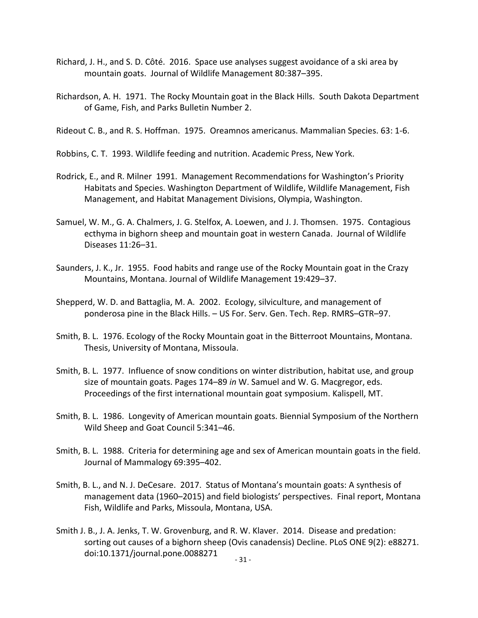- Richard, J. H., and S. D. Côté. 2016. Space use analyses suggest avoidance of a ski area by mountain goats. Journal of Wildlife Management 80:387–395.
- Richardson, A. H. 1971. The Rocky Mountain goat in the Black Hills. South Dakota Department of Game, Fish, and Parks Bulletin Number 2.

Rideout C. B., and R. S. Hoffman. 1975. Oreamnos americanus. Mammalian Species. 63: 1-6.

- Robbins, C. T. 1993. Wildlife feeding and nutrition. Academic Press, New York.
- Rodrick, E., and R. Milner 1991. Management Recommendations for Washington's Priority Habitats and Species. Washington Department of Wildlife, Wildlife Management, Fish Management, and Habitat Management Divisions, Olympia, Washington.
- Samuel, W. M., G. A. Chalmers, J. G. Stelfox, A. Loewen, and J. J. Thomsen. 1975. Contagious ecthyma in bighorn sheep and mountain goat in western Canada. Journal of Wildlife Diseases 11:26–31.
- Saunders, J. K., Jr. 1955. Food habits and range use of the Rocky Mountain goat in the Crazy Mountains, Montana. Journal of Wildlife Management 19:429–37.
- Shepperd, W. D. and Battaglia, M. A. 2002. Ecology, silviculture, and management of ponderosa pine in the Black Hills. – US For. Serv. Gen. Tech. Rep. RMRS–GTR–97.
- Smith, B. L. 1976. Ecology of the Rocky Mountain goat in the Bitterroot Mountains, Montana. Thesis, University of Montana, Missoula.
- Smith, B. L. 1977. Influence of snow conditions on winter distribution, habitat use, and group size of mountain goats. Pages 174–89 *in* W. Samuel and W. G. Macgregor, eds. Proceedings of the first international mountain goat symposium. Kalispell, MT.
- Smith, B. L. 1986. Longevity of American mountain goats. Biennial Symposium of the Northern Wild Sheep and Goat Council 5:341–46.
- Smith, B. L. 1988. Criteria for determining age and sex of American mountain goats in the field. Journal of Mammalogy 69:395–402.
- Smith, B. L., and N. J. DeCesare. 2017. Status of Montana's mountain goats: A synthesis of management data (1960–2015) and field biologists' perspectives. Final report, Montana Fish, Wildlife and Parks, Missoula, Montana, USA.
- Smith J. B., J. A. Jenks, T. W. Grovenburg, and R. W. Klaver. 2014. Disease and predation: sorting out causes of a bighorn sheep (Ovis canadensis) Decline. PLoS ONE 9(2): e88271. doi:10.1371/journal.pone.0088271